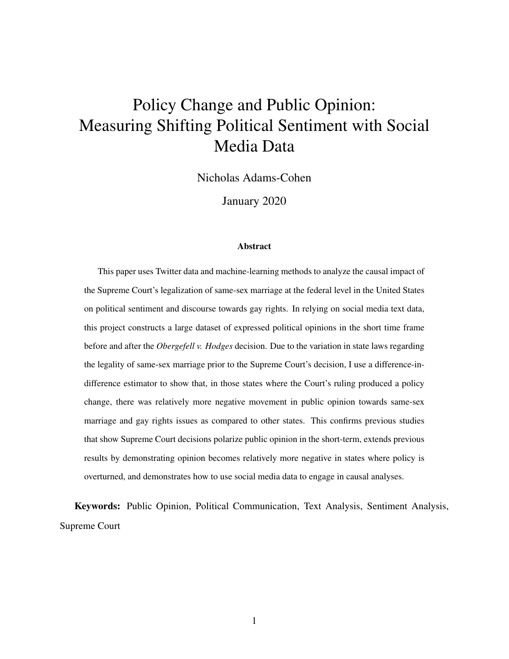# Policy Change and Public Opinion: Measuring Shifting Political Sentiment with Social Media Data

Nicholas Adams-Cohen

January 2020

#### Abstract

This paper uses Twitter data and machine-learning methods to analyze the causal impact of the Supreme Court's legalization of same-sex marriage at the federal level in the United States on political sentiment and discourse towards gay rights. In relying on social media text data, this project constructs a large dataset of expressed political opinions in the short time frame before and after the *Obergefell v. Hodges* decision. Due to the variation in state laws regarding the legality of same-sex marriage prior to the Supreme Court's decision, I use a difference-indifference estimator to show that, in those states where the Court's ruling produced a policy change, there was relatively more negative movement in public opinion towards same-sex marriage and gay rights issues as compared to other states. This confirms previous studies that show Supreme Court decisions polarize public opinion in the short-term, extends previous results by demonstrating opinion becomes relatively more negative in states where policy is overturned, and demonstrates how to use social media data to engage in causal analyses.

Keywords: Public Opinion, Political Communication, Text Analysis, Sentiment Analysis, Supreme Court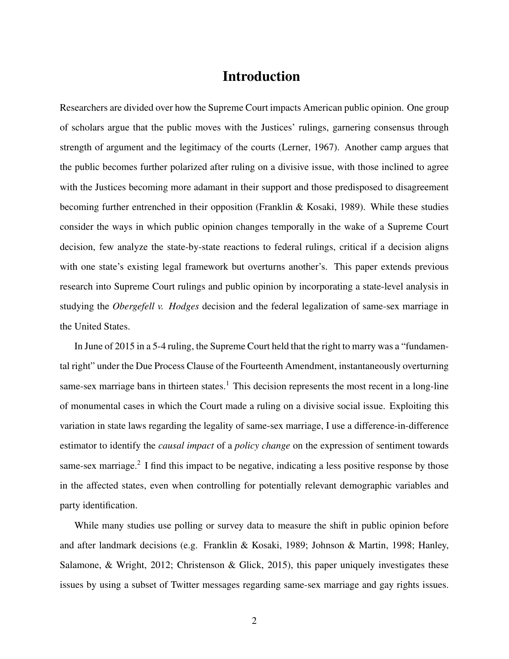# Introduction

Researchers are divided over how the Supreme Court impacts American public opinion. One group of scholars argue that the public moves with the Justices' rulings, garnering consensus through strength of argument and the legitimacy of the courts (Lerner, 1967). Another camp argues that the public becomes further polarized after ruling on a divisive issue, with those inclined to agree with the Justices becoming more adamant in their support and those predisposed to disagreement becoming further entrenched in their opposition (Franklin & Kosaki, 1989). While these studies consider the ways in which public opinion changes temporally in the wake of a Supreme Court decision, few analyze the state-by-state reactions to federal rulings, critical if a decision aligns with one state's existing legal framework but overturns another's. This paper extends previous research into Supreme Court rulings and public opinion by incorporating a state-level analysis in studying the *Obergefell v. Hodges* decision and the federal legalization of same-sex marriage in the United States.

In June of 2015 in a 5-4 ruling, the Supreme Court held that the right to marry was a "fundamental right" under the Due Process Clause of the Fourteenth Amendment, instantaneously overturning same-sex marriage bans in thirteen states.<sup>1</sup> This decision represents the most recent in a long-line of monumental cases in which the Court made a ruling on a divisive social issue. Exploiting this variation in state laws regarding the legality of same-sex marriage, I use a difference-in-difference estimator to identify the *causal impact* of a *policy change* on the expression of sentiment towards same-sex marriage.<sup>2</sup> I find this impact to be negative, indicating a less positive response by those in the affected states, even when controlling for potentially relevant demographic variables and party identification.

While many studies use polling or survey data to measure the shift in public opinion before and after landmark decisions (e.g. Franklin & Kosaki, 1989; Johnson & Martin, 1998; Hanley, Salamone, & Wright, 2012; Christenson & Glick, 2015), this paper uniquely investigates these issues by using a subset of Twitter messages regarding same-sex marriage and gay rights issues.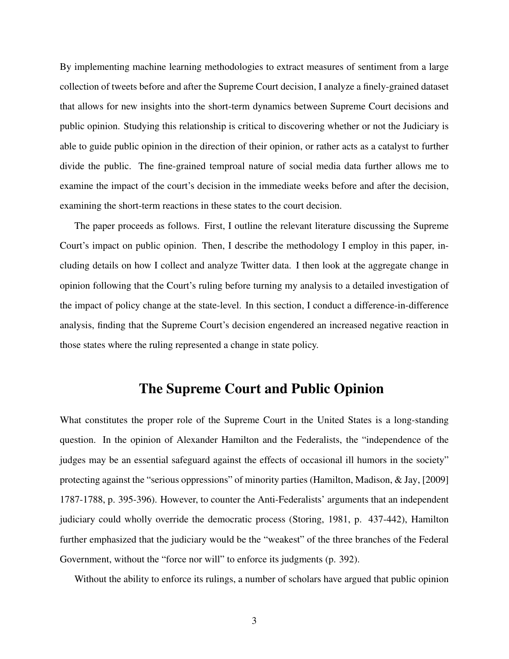By implementing machine learning methodologies to extract measures of sentiment from a large collection of tweets before and after the Supreme Court decision, I analyze a finely-grained dataset that allows for new insights into the short-term dynamics between Supreme Court decisions and public opinion. Studying this relationship is critical to discovering whether or not the Judiciary is able to guide public opinion in the direction of their opinion, or rather acts as a catalyst to further divide the public. The fine-grained temproal nature of social media data further allows me to examine the impact of the court's decision in the immediate weeks before and after the decision, examining the short-term reactions in these states to the court decision.

The paper proceeds as follows. First, I outline the relevant literature discussing the Supreme Court's impact on public opinion. Then, I describe the methodology I employ in this paper, including details on how I collect and analyze Twitter data. I then look at the aggregate change in opinion following that the Court's ruling before turning my analysis to a detailed investigation of the impact of policy change at the state-level. In this section, I conduct a difference-in-difference analysis, finding that the Supreme Court's decision engendered an increased negative reaction in those states where the ruling represented a change in state policy.

### The Supreme Court and Public Opinion

What constitutes the proper role of the Supreme Court in the United States is a long-standing question. In the opinion of Alexander Hamilton and the Federalists, the "independence of the judges may be an essential safeguard against the effects of occasional ill humors in the society" protecting against the "serious oppressions" of minority parties (Hamilton, Madison, & Jay, [2009] 1787-1788, p. 395-396). However, to counter the Anti-Federalists' arguments that an independent judiciary could wholly override the democratic process (Storing, 1981, p. 437-442), Hamilton further emphasized that the judiciary would be the "weakest" of the three branches of the Federal Government, without the "force nor will" to enforce its judgments (p. 392).

Without the ability to enforce its rulings, a number of scholars have argued that public opinion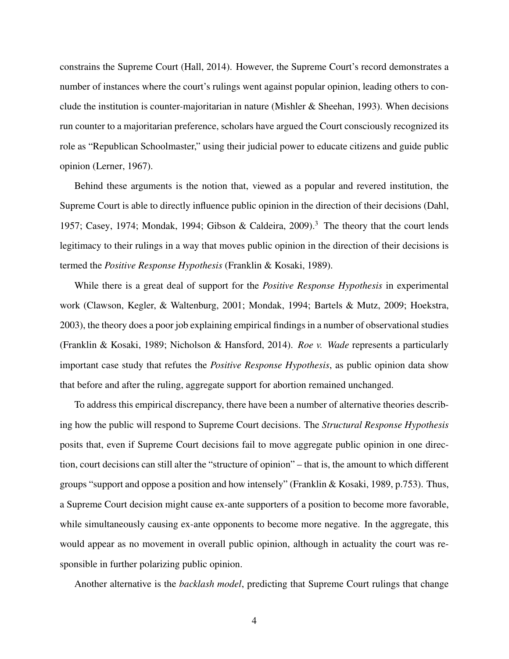constrains the Supreme Court (Hall, 2014). However, the Supreme Court's record demonstrates a number of instances where the court's rulings went against popular opinion, leading others to conclude the institution is counter-majoritarian in nature (Mishler  $\&$  Sheehan, 1993). When decisions run counter to a majoritarian preference, scholars have argued the Court consciously recognized its role as "Republican Schoolmaster," using their judicial power to educate citizens and guide public opinion (Lerner, 1967).

Behind these arguments is the notion that, viewed as a popular and revered institution, the Supreme Court is able to directly influence public opinion in the direction of their decisions (Dahl, 1957; Casey, 1974; Mondak, 1994; Gibson & Caldeira, 2009).<sup>3</sup> The theory that the court lends legitimacy to their rulings in a way that moves public opinion in the direction of their decisions is termed the *Positive Response Hypothesis* (Franklin & Kosaki, 1989).

While there is a great deal of support for the *Positive Response Hypothesis* in experimental work (Clawson, Kegler, & Waltenburg, 2001; Mondak, 1994; Bartels & Mutz, 2009; Hoekstra, 2003), the theory does a poor job explaining empirical findings in a number of observational studies (Franklin & Kosaki, 1989; Nicholson & Hansford, 2014). *Roe v. Wade* represents a particularly important case study that refutes the *Positive Response Hypothesis*, as public opinion data show that before and after the ruling, aggregate support for abortion remained unchanged.

To address this empirical discrepancy, there have been a number of alternative theories describing how the public will respond to Supreme Court decisions. The *Structural Response Hypothesis* posits that, even if Supreme Court decisions fail to move aggregate public opinion in one direction, court decisions can still alter the "structure of opinion" – that is, the amount to which different groups "support and oppose a position and how intensely" (Franklin & Kosaki, 1989, p.753). Thus, a Supreme Court decision might cause ex-ante supporters of a position to become more favorable, while simultaneously causing ex-ante opponents to become more negative. In the aggregate, this would appear as no movement in overall public opinion, although in actuality the court was responsible in further polarizing public opinion.

Another alternative is the *backlash model*, predicting that Supreme Court rulings that change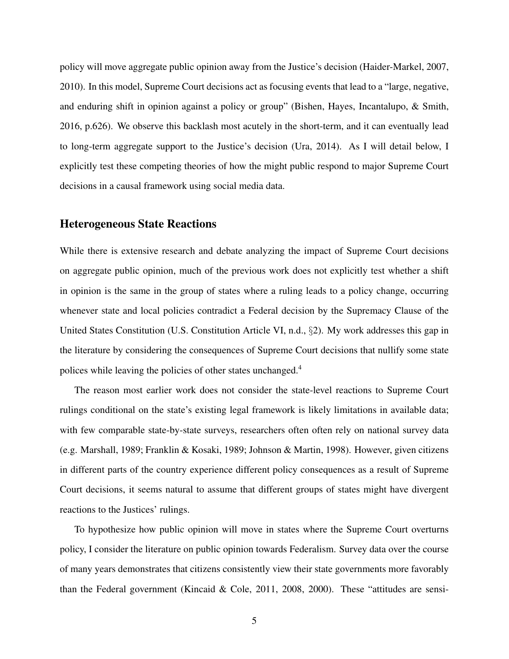policy will move aggregate public opinion away from the Justice's decision (Haider-Markel, 2007, 2010). In this model, Supreme Court decisions act as focusing events that lead to a "large, negative, and enduring shift in opinion against a policy or group" (Bishen, Hayes, Incantalupo, & Smith, 2016, p.626). We observe this backlash most acutely in the short-term, and it can eventually lead to long-term aggregate support to the Justice's decision (Ura, 2014). As I will detail below, I explicitly test these competing theories of how the might public respond to major Supreme Court decisions in a causal framework using social media data.

#### Heterogeneous State Reactions

While there is extensive research and debate analyzing the impact of Supreme Court decisions on aggregate public opinion, much of the previous work does not explicitly test whether a shift in opinion is the same in the group of states where a ruling leads to a policy change, occurring whenever state and local policies contradict a Federal decision by the Supremacy Clause of the United States Constitution (U.S. Constitution Article VI, n.d., §2). My work addresses this gap in the literature by considering the consequences of Supreme Court decisions that nullify some state polices while leaving the policies of other states unchanged.<sup>4</sup>

The reason most earlier work does not consider the state-level reactions to Supreme Court rulings conditional on the state's existing legal framework is likely limitations in available data; with few comparable state-by-state surveys, researchers often often rely on national survey data (e.g. Marshall, 1989; Franklin & Kosaki, 1989; Johnson & Martin, 1998). However, given citizens in different parts of the country experience different policy consequences as a result of Supreme Court decisions, it seems natural to assume that different groups of states might have divergent reactions to the Justices' rulings.

To hypothesize how public opinion will move in states where the Supreme Court overturns policy, I consider the literature on public opinion towards Federalism. Survey data over the course of many years demonstrates that citizens consistently view their state governments more favorably than the Federal government (Kincaid & Cole, 2011, 2008, 2000). These "attitudes are sensi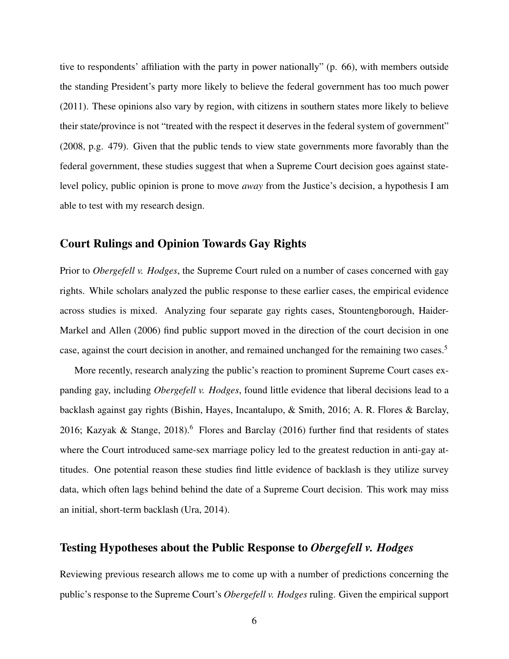tive to respondents' affiliation with the party in power nationally" (p. 66), with members outside the standing President's party more likely to believe the federal government has too much power (2011). These opinions also vary by region, with citizens in southern states more likely to believe their state/province is not "treated with the respect it deserves in the federal system of government" (2008, p.g. 479). Given that the public tends to view state governments more favorably than the federal government, these studies suggest that when a Supreme Court decision goes against statelevel policy, public opinion is prone to move *away* from the Justice's decision, a hypothesis I am able to test with my research design.

### Court Rulings and Opinion Towards Gay Rights

Prior to *Obergefell v. Hodges*, the Supreme Court ruled on a number of cases concerned with gay rights. While scholars analyzed the public response to these earlier cases, the empirical evidence across studies is mixed. Analyzing four separate gay rights cases, Stountengborough, Haider-Markel and Allen (2006) find public support moved in the direction of the court decision in one case, against the court decision in another, and remained unchanged for the remaining two cases.<sup>5</sup>

More recently, research analyzing the public's reaction to prominent Supreme Court cases expanding gay, including *Obergefell v. Hodges*, found little evidence that liberal decisions lead to a backlash against gay rights (Bishin, Hayes, Incantalupo, & Smith, 2016; A. R. Flores & Barclay, 2016; Kazyak & Stange, 2018).<sup>6</sup> Flores and Barclay (2016) further find that residents of states where the Court introduced same-sex marriage policy led to the greatest reduction in anti-gay attitudes. One potential reason these studies find little evidence of backlash is they utilize survey data, which often lags behind behind the date of a Supreme Court decision. This work may miss an initial, short-term backlash (Ura, 2014).

#### Testing Hypotheses about the Public Response to *Obergefell v. Hodges*

Reviewing previous research allows me to come up with a number of predictions concerning the public's response to the Supreme Court's *Obergefell v. Hodges* ruling. Given the empirical support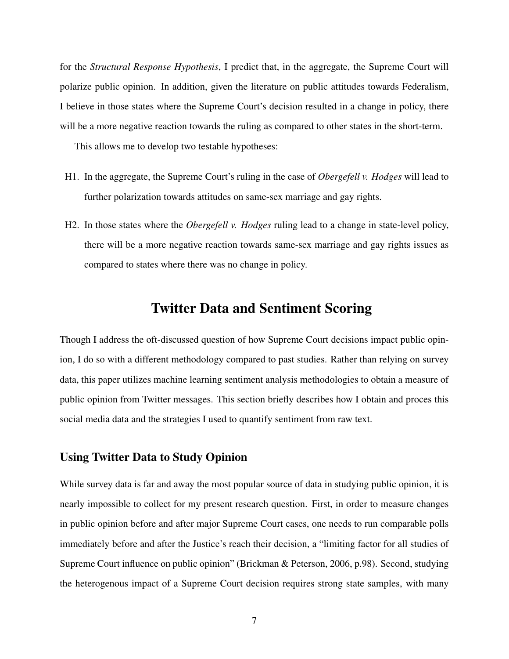for the *Structural Response Hypothesis*, I predict that, in the aggregate, the Supreme Court will polarize public opinion. In addition, given the literature on public attitudes towards Federalism, I believe in those states where the Supreme Court's decision resulted in a change in policy, there will be a more negative reaction towards the ruling as compared to other states in the short-term.

This allows me to develop two testable hypotheses:

- H1. In the aggregate, the Supreme Court's ruling in the case of *Obergefell v. Hodges* will lead to further polarization towards attitudes on same-sex marriage and gay rights.
- H2. In those states where the *Obergefell v. Hodges* ruling lead to a change in state-level policy, there will be a more negative reaction towards same-sex marriage and gay rights issues as compared to states where there was no change in policy.

### Twitter Data and Sentiment Scoring

Though I address the oft-discussed question of how Supreme Court decisions impact public opinion, I do so with a different methodology compared to past studies. Rather than relying on survey data, this paper utilizes machine learning sentiment analysis methodologies to obtain a measure of public opinion from Twitter messages. This section briefly describes how I obtain and proces this social media data and the strategies I used to quantify sentiment from raw text.

#### Using Twitter Data to Study Opinion

While survey data is far and away the most popular source of data in studying public opinion, it is nearly impossible to collect for my present research question. First, in order to measure changes in public opinion before and after major Supreme Court cases, one needs to run comparable polls immediately before and after the Justice's reach their decision, a "limiting factor for all studies of Supreme Court influence on public opinion" (Brickman & Peterson, 2006, p.98). Second, studying the heterogenous impact of a Supreme Court decision requires strong state samples, with many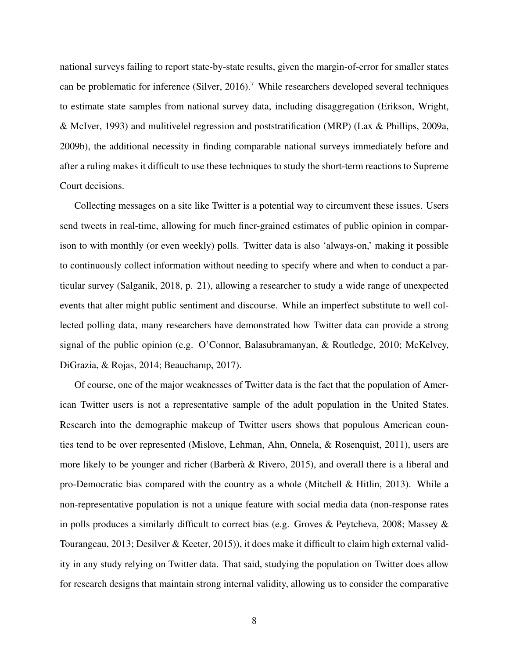national surveys failing to report state-by-state results, given the margin-of-error for smaller states can be problematic for inference (Silver, 2016).<sup>7</sup> While researchers developed several techniques to estimate state samples from national survey data, including disaggregation (Erikson, Wright, & McIver, 1993) and mulitivelel regression and poststratification (MRP) (Lax & Phillips, 2009a, 2009b), the additional necessity in finding comparable national surveys immediately before and after a ruling makes it difficult to use these techniques to study the short-term reactions to Supreme Court decisions.

Collecting messages on a site like Twitter is a potential way to circumvent these issues. Users send tweets in real-time, allowing for much finer-grained estimates of public opinion in comparison to with monthly (or even weekly) polls. Twitter data is also 'always-on,' making it possible to continuously collect information without needing to specify where and when to conduct a particular survey (Salganik, 2018, p. 21), allowing a researcher to study a wide range of unexpected events that alter might public sentiment and discourse. While an imperfect substitute to well collected polling data, many researchers have demonstrated how Twitter data can provide a strong signal of the public opinion (e.g. O'Connor, Balasubramanyan, & Routledge, 2010; McKelvey, DiGrazia, & Rojas, 2014; Beauchamp, 2017).

Of course, one of the major weaknesses of Twitter data is the fact that the population of American Twitter users is not a representative sample of the adult population in the United States. Research into the demographic makeup of Twitter users shows that populous American counties tend to be over represented (Mislove, Lehman, Ahn, Onnela, & Rosenquist, 2011), users are more likely to be younger and richer (Barberà  $\&$  Rivero, 2015), and overall there is a liberal and pro-Democratic bias compared with the country as a whole (Mitchell & Hitlin, 2013). While a non-representative population is not a unique feature with social media data (non-response rates in polls produces a similarly difficult to correct bias (e.g. Groves & Peytcheva, 2008; Massey & Tourangeau, 2013; Desilver & Keeter, 2015)), it does make it difficult to claim high external validity in any study relying on Twitter data. That said, studying the population on Twitter does allow for research designs that maintain strong internal validity, allowing us to consider the comparative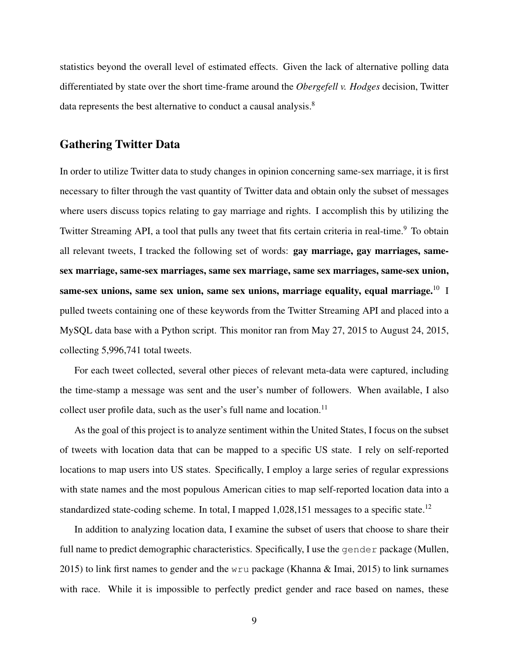statistics beyond the overall level of estimated effects. Given the lack of alternative polling data differentiated by state over the short time-frame around the *Obergefell v. Hodges* decision, Twitter data represents the best alternative to conduct a causal analysis.<sup>8</sup>

#### Gathering Twitter Data

In order to utilize Twitter data to study changes in opinion concerning same-sex marriage, it is first necessary to filter through the vast quantity of Twitter data and obtain only the subset of messages where users discuss topics relating to gay marriage and rights. I accomplish this by utilizing the Twitter Streaming API, a tool that pulls any tweet that fits certain criteria in real-time.<sup>9</sup> To obtain all relevant tweets, I tracked the following set of words: gay marriage, gay marriages, samesex marriage, same-sex marriages, same sex marriage, same sex marriages, same-sex union, same-sex unions, same sex union, same sex unions, marriage equality, equal marriage. $10$  I pulled tweets containing one of these keywords from the Twitter Streaming API and placed into a MySQL data base with a Python script. This monitor ran from May 27, 2015 to August 24, 2015, collecting 5,996,741 total tweets.

For each tweet collected, several other pieces of relevant meta-data were captured, including the time-stamp a message was sent and the user's number of followers. When available, I also collect user profile data, such as the user's full name and location.<sup>11</sup>

As the goal of this project is to analyze sentiment within the United States, I focus on the subset of tweets with location data that can be mapped to a specific US state. I rely on self-reported locations to map users into US states. Specifically, I employ a large series of regular expressions with state names and the most populous American cities to map self-reported location data into a standardized state-coding scheme. In total, I mapped 1,028,151 messages to a specific state.<sup>12</sup>

In addition to analyzing location data, I examine the subset of users that choose to share their full name to predict demographic characteristics. Specifically, I use the gender package (Mullen, 2015) to link first names to gender and the wru package (Khanna & Imai, 2015) to link surnames with race. While it is impossible to perfectly predict gender and race based on names, these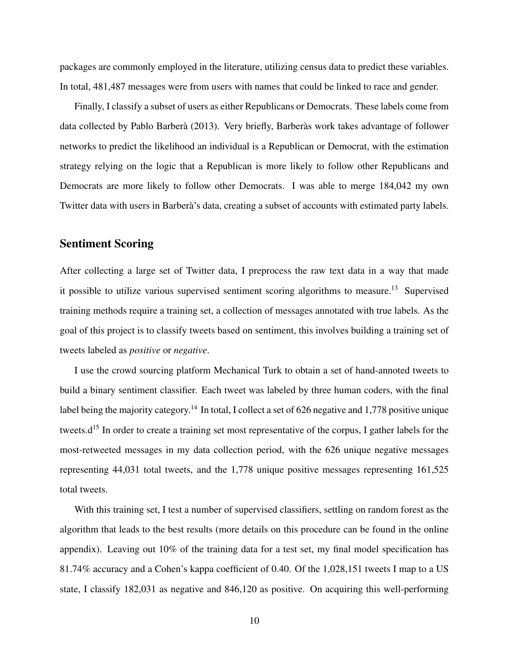packages are commonly employed in the literature, utilizing census data to predict these variables. In total, 481,487 messages were from users with names that could be linked to race and gender.

Finally, I classify a subset of users as either Republicans or Democrats. These labels come from data collected by Pablo Barberà (2013). Very briefly, Barberàs work takes advantage of follower networks to predict the likelihood an individual is a Republican or Democrat, with the estimation strategy relying on the logic that a Republican is more likely to follow other Republicans and Democrats are more likely to follow other Democrats. I was able to merge 184,042 my own Twitter data with users in Barberà's data, creating a subset of accounts with estimated party labels.

#### Sentiment Scoring

After collecting a large set of Twitter data, I preprocess the raw text data in a way that made it possible to utilize various supervised sentiment scoring algorithms to measure.<sup>13</sup> Supervised training methods require a training set, a collection of messages annotated with true labels. As the goal of this project is to classify tweets based on sentiment, this involves building a training set of tweets labeled as *positive* or *negative*.

I use the crowd sourcing platform Mechanical Turk to obtain a set of hand-annoted tweets to build a binary sentiment classifier. Each tweet was labeled by three human coders, with the final label being the majority category.<sup>14</sup> In total, I collect a set of 626 negative and 1,778 positive unique tweets.d<sup>15</sup> In order to create a training set most representative of the corpus, I gather labels for the most-retweeted messages in my data collection period, with the 626 unique negative messages representing 44,031 total tweets, and the 1,778 unique positive messages representing 161,525 total tweets.

With this training set, I test a number of supervised classifiers, settling on random forest as the algorithm that leads to the best results (more details on this procedure can be found in the online appendix). Leaving out 10% of the training data for a test set, my final model specification has 81.74% accuracy and a Cohen's kappa coefficient of 0.40. Of the 1,028,151 tweets I map to a US state, I classify 182,031 as negative and 846,120 as positive. On acquiring this well-performing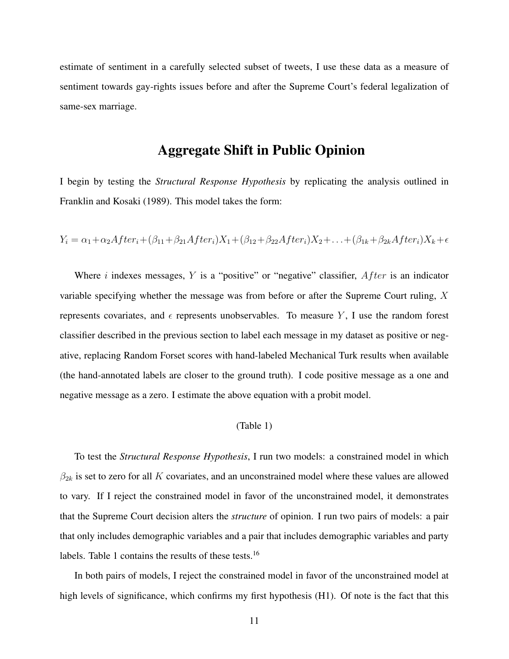estimate of sentiment in a carefully selected subset of tweets, I use these data as a measure of sentiment towards gay-rights issues before and after the Supreme Court's federal legalization of same-sex marriage.

### Aggregate Shift in Public Opinion

I begin by testing the *Structural Response Hypothesis* by replicating the analysis outlined in Franklin and Kosaki (1989). This model takes the form:

$$
Y_i = \alpha_1 + \alpha_2 After_i + (\beta_{11} + \beta_{21} After_i)X_1 + (\beta_{12} + \beta_{22} After_i)X_2 + ... + (\beta_{1k} + \beta_{2k} After_i)X_k + \epsilon
$$

Where i indexes messages, Y is a "positive" or "negative" classifier,  $After$  is an indicator variable specifying whether the message was from before or after the Supreme Court ruling, X represents covariates, and  $\epsilon$  represents unobservables. To measure Y, I use the random forest classifier described in the previous section to label each message in my dataset as positive or negative, replacing Random Forset scores with hand-labeled Mechanical Turk results when available (the hand-annotated labels are closer to the ground truth). I code positive message as a one and negative message as a zero. I estimate the above equation with a probit model.

#### (Table 1)

To test the *Structural Response Hypothesis*, I run two models: a constrained model in which  $\beta_{2k}$  is set to zero for all K covariates, and an unconstrained model where these values are allowed to vary. If I reject the constrained model in favor of the unconstrained model, it demonstrates that the Supreme Court decision alters the *structure* of opinion. I run two pairs of models: a pair that only includes demographic variables and a pair that includes demographic variables and party labels. Table 1 contains the results of these tests.<sup>16</sup>

In both pairs of models, I reject the constrained model in favor of the unconstrained model at high levels of significance, which confirms my first hypothesis (H1). Of note is the fact that this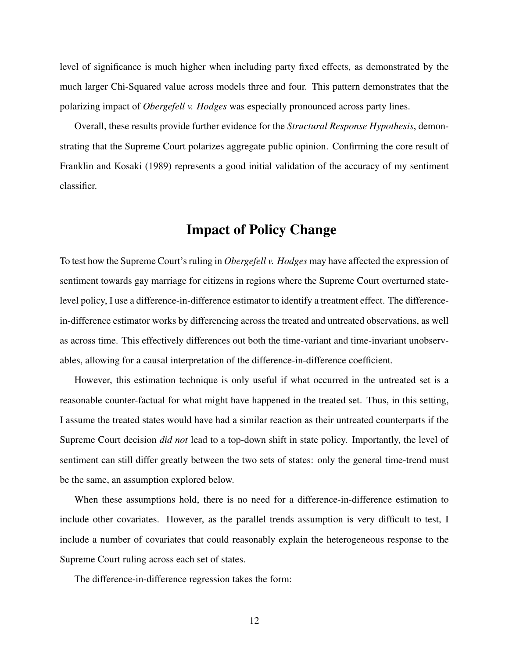level of significance is much higher when including party fixed effects, as demonstrated by the much larger Chi-Squared value across models three and four. This pattern demonstrates that the polarizing impact of *Obergefell v. Hodges* was especially pronounced across party lines.

Overall, these results provide further evidence for the *Structural Response Hypothesis*, demonstrating that the Supreme Court polarizes aggregate public opinion. Confirming the core result of Franklin and Kosaki (1989) represents a good initial validation of the accuracy of my sentiment classifier.

### Impact of Policy Change

To test how the Supreme Court's ruling in *Obergefell v. Hodges* may have affected the expression of sentiment towards gay marriage for citizens in regions where the Supreme Court overturned statelevel policy, I use a difference-in-difference estimator to identify a treatment effect. The differencein-difference estimator works by differencing across the treated and untreated observations, as well as across time. This effectively differences out both the time-variant and time-invariant unobservables, allowing for a causal interpretation of the difference-in-difference coefficient.

However, this estimation technique is only useful if what occurred in the untreated set is a reasonable counter-factual for what might have happened in the treated set. Thus, in this setting, I assume the treated states would have had a similar reaction as their untreated counterparts if the Supreme Court decision *did not* lead to a top-down shift in state policy. Importantly, the level of sentiment can still differ greatly between the two sets of states: only the general time-trend must be the same, an assumption explored below.

When these assumptions hold, there is no need for a difference-in-difference estimation to include other covariates. However, as the parallel trends assumption is very difficult to test, I include a number of covariates that could reasonably explain the heterogeneous response to the Supreme Court ruling across each set of states.

The difference-in-difference regression takes the form: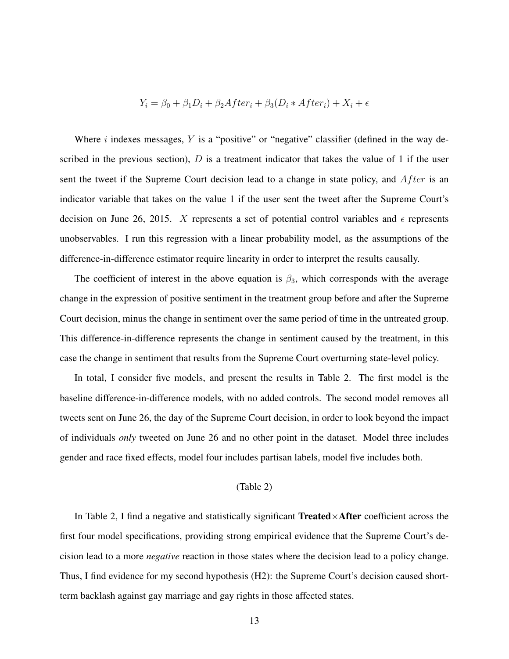$$
Y_i = \beta_0 + \beta_1 D_i + \beta_2 After_i + \beta_3 (D_i * After_i) + X_i + \epsilon
$$

Where  $i$  indexes messages,  $Y$  is a "positive" or "negative" classifier (defined in the way described in the previous section),  $D$  is a treatment indicator that takes the value of 1 if the user sent the tweet if the Supreme Court decision lead to a change in state policy, and  $After$  is an indicator variable that takes on the value 1 if the user sent the tweet after the Supreme Court's decision on June 26, 2015. X represents a set of potential control variables and  $\epsilon$  represents unobservables. I run this regression with a linear probability model, as the assumptions of the difference-in-difference estimator require linearity in order to interpret the results causally.

The coefficient of interest in the above equation is  $\beta_3$ , which corresponds with the average change in the expression of positive sentiment in the treatment group before and after the Supreme Court decision, minus the change in sentiment over the same period of time in the untreated group. This difference-in-difference represents the change in sentiment caused by the treatment, in this case the change in sentiment that results from the Supreme Court overturning state-level policy.

In total, I consider five models, and present the results in Table 2. The first model is the baseline difference-in-difference models, with no added controls. The second model removes all tweets sent on June 26, the day of the Supreme Court decision, in order to look beyond the impact of individuals *only* tweeted on June 26 and no other point in the dataset. Model three includes gender and race fixed effects, model four includes partisan labels, model five includes both.

#### (Table 2)

In Table 2, I find a negative and statistically significant Treated $\times$ After coefficient across the first four model specifications, providing strong empirical evidence that the Supreme Court's decision lead to a more *negative* reaction in those states where the decision lead to a policy change. Thus, I find evidence for my second hypothesis (H2): the Supreme Court's decision caused shortterm backlash against gay marriage and gay rights in those affected states.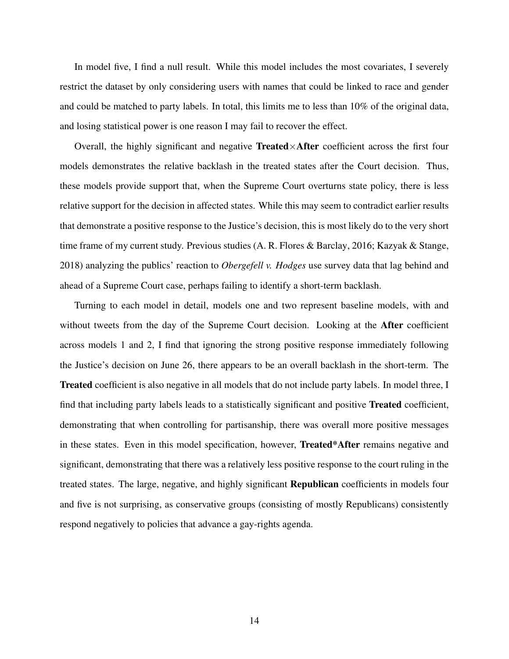In model five, I find a null result. While this model includes the most covariates, I severely restrict the dataset by only considering users with names that could be linked to race and gender and could be matched to party labels. In total, this limits me to less than 10% of the original data, and losing statistical power is one reason I may fail to recover the effect.

Overall, the highly significant and negative Treated $\times$ After coefficient across the first four models demonstrates the relative backlash in the treated states after the Court decision. Thus, these models provide support that, when the Supreme Court overturns state policy, there is less relative support for the decision in affected states. While this may seem to contradict earlier results that demonstrate a positive response to the Justice's decision, this is most likely do to the very short time frame of my current study. Previous studies (A. R. Flores & Barclay, 2016; Kazyak & Stange, 2018) analyzing the publics' reaction to *Obergefell v. Hodges* use survey data that lag behind and ahead of a Supreme Court case, perhaps failing to identify a short-term backlash.

Turning to each model in detail, models one and two represent baseline models, with and without tweets from the day of the Supreme Court decision. Looking at the After coefficient across models 1 and 2, I find that ignoring the strong positive response immediately following the Justice's decision on June 26, there appears to be an overall backlash in the short-term. The Treated coefficient is also negative in all models that do not include party labels. In model three, I find that including party labels leads to a statistically significant and positive Treated coefficient, demonstrating that when controlling for partisanship, there was overall more positive messages in these states. Even in this model specification, however, Treated\*After remains negative and significant, demonstrating that there was a relatively less positive response to the court ruling in the treated states. The large, negative, and highly significant Republican coefficients in models four and five is not surprising, as conservative groups (consisting of mostly Republicans) consistently respond negatively to policies that advance a gay-rights agenda.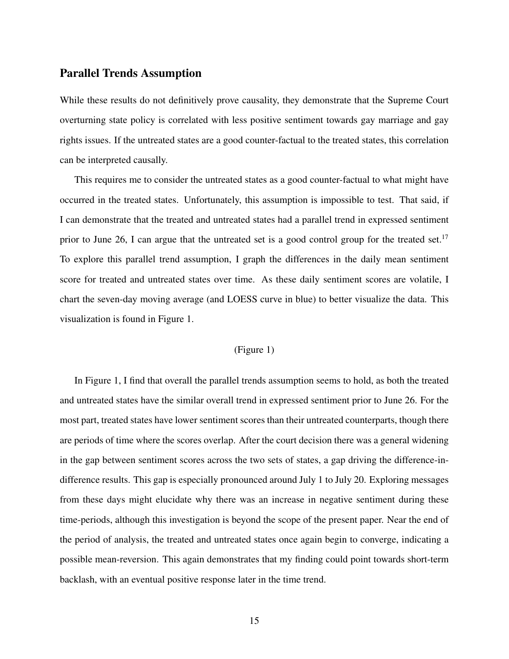#### Parallel Trends Assumption

While these results do not definitively prove causality, they demonstrate that the Supreme Court overturning state policy is correlated with less positive sentiment towards gay marriage and gay rights issues. If the untreated states are a good counter-factual to the treated states, this correlation can be interpreted causally.

This requires me to consider the untreated states as a good counter-factual to what might have occurred in the treated states. Unfortunately, this assumption is impossible to test. That said, if I can demonstrate that the treated and untreated states had a parallel trend in expressed sentiment prior to June 26, I can argue that the untreated set is a good control group for the treated set.<sup>17</sup> To explore this parallel trend assumption, I graph the differences in the daily mean sentiment score for treated and untreated states over time. As these daily sentiment scores are volatile, I chart the seven-day moving average (and LOESS curve in blue) to better visualize the data. This visualization is found in Figure 1.

#### (Figure 1)

In Figure 1, I find that overall the parallel trends assumption seems to hold, as both the treated and untreated states have the similar overall trend in expressed sentiment prior to June 26. For the most part, treated states have lower sentiment scores than their untreated counterparts, though there are periods of time where the scores overlap. After the court decision there was a general widening in the gap between sentiment scores across the two sets of states, a gap driving the difference-indifference results. This gap is especially pronounced around July 1 to July 20. Exploring messages from these days might elucidate why there was an increase in negative sentiment during these time-periods, although this investigation is beyond the scope of the present paper. Near the end of the period of analysis, the treated and untreated states once again begin to converge, indicating a possible mean-reversion. This again demonstrates that my finding could point towards short-term backlash, with an eventual positive response later in the time trend.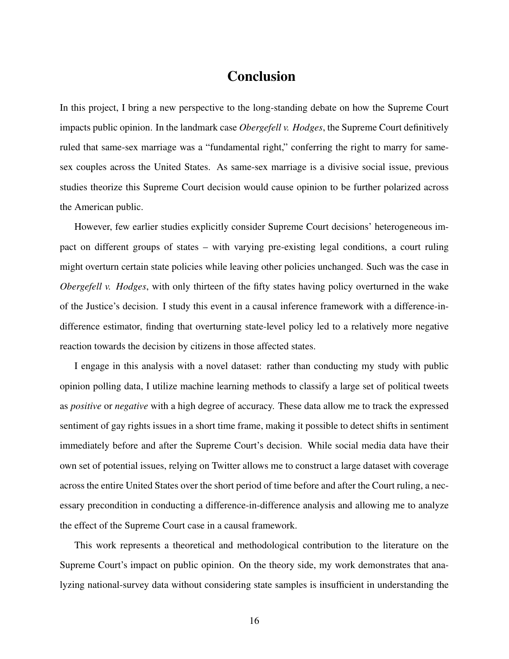# Conclusion

In this project, I bring a new perspective to the long-standing debate on how the Supreme Court impacts public opinion. In the landmark case *Obergefell v. Hodges*, the Supreme Court definitively ruled that same-sex marriage was a "fundamental right," conferring the right to marry for samesex couples across the United States. As same-sex marriage is a divisive social issue, previous studies theorize this Supreme Court decision would cause opinion to be further polarized across the American public.

However, few earlier studies explicitly consider Supreme Court decisions' heterogeneous impact on different groups of states – with varying pre-existing legal conditions, a court ruling might overturn certain state policies while leaving other policies unchanged. Such was the case in *Obergefell v. Hodges*, with only thirteen of the fifty states having policy overturned in the wake of the Justice's decision. I study this event in a causal inference framework with a difference-indifference estimator, finding that overturning state-level policy led to a relatively more negative reaction towards the decision by citizens in those affected states.

I engage in this analysis with a novel dataset: rather than conducting my study with public opinion polling data, I utilize machine learning methods to classify a large set of political tweets as *positive* or *negative* with a high degree of accuracy. These data allow me to track the expressed sentiment of gay rights issues in a short time frame, making it possible to detect shifts in sentiment immediately before and after the Supreme Court's decision. While social media data have their own set of potential issues, relying on Twitter allows me to construct a large dataset with coverage across the entire United States over the short period of time before and after the Court ruling, a necessary precondition in conducting a difference-in-difference analysis and allowing me to analyze the effect of the Supreme Court case in a causal framework.

This work represents a theoretical and methodological contribution to the literature on the Supreme Court's impact on public opinion. On the theory side, my work demonstrates that analyzing national-survey data without considering state samples is insufficient in understanding the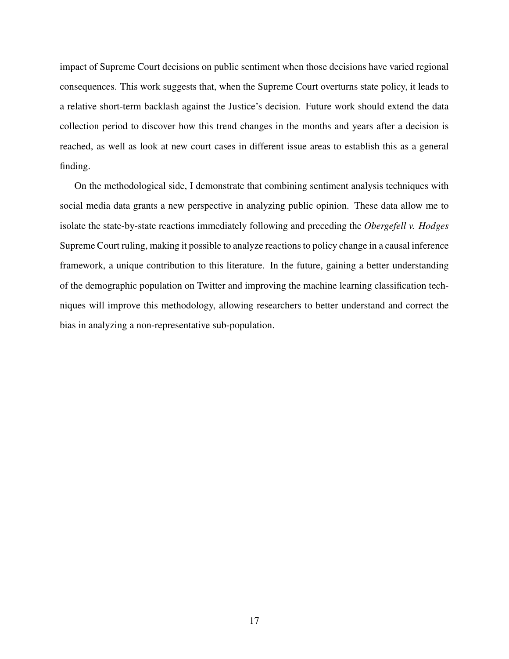impact of Supreme Court decisions on public sentiment when those decisions have varied regional consequences. This work suggests that, when the Supreme Court overturns state policy, it leads to a relative short-term backlash against the Justice's decision. Future work should extend the data collection period to discover how this trend changes in the months and years after a decision is reached, as well as look at new court cases in different issue areas to establish this as a general finding.

On the methodological side, I demonstrate that combining sentiment analysis techniques with social media data grants a new perspective in analyzing public opinion. These data allow me to isolate the state-by-state reactions immediately following and preceding the *Obergefell v. Hodges* Supreme Court ruling, making it possible to analyze reactions to policy change in a causal inference framework, a unique contribution to this literature. In the future, gaining a better understanding of the demographic population on Twitter and improving the machine learning classification techniques will improve this methodology, allowing researchers to better understand and correct the bias in analyzing a non-representative sub-population.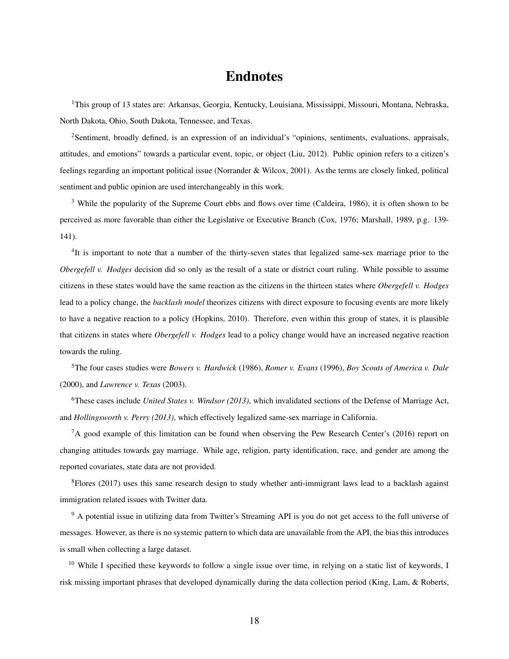# Endnotes

<sup>1</sup>This group of 13 states are: Arkansas, Georgia, Kentucky, Louisiana, Mississippi, Missouri, Montana, Nebraska, North Dakota, Ohio, South Dakota, Tennessee, and Texas.

<sup>2</sup>Sentiment, broadly defined, is an expression of an individual's "opinions, sentiments, evaluations, appraisals, attitudes, and emotions" towards a particular event, topic, or object (Liu, 2012). Public opinion refers to a citizen's feelings regarding an important political issue (Norrander & Wilcox, 2001). As the terms are closely linked, political sentiment and public opinion are used interchangeably in this work.

<sup>3</sup> While the popularity of the Supreme Court ebbs and flows over time (Caldeira, 1986), it is often shown to be perceived as more favorable than either the Legislative or Executive Branch (Cox, 1976; Marshall, 1989, p.g. 139- 141).

<sup>4</sup>It is important to note that a number of the thirty-seven states that legalized same-sex marriage prior to the *Obergefell v. Hodges* decision did so only as the result of a state or district court ruling. While possible to assume citizens in these states would have the same reaction as the citizens in the thirteen states where *Obergefell v. Hodges* lead to a policy change, the *backlash model* theorizes citizens with direct exposure to focusing events are more likely to have a negative reaction to a policy (Hopkins, 2010). Therefore, even within this group of states, it is plausible that citizens in states where *Obergefell v. Hodges* lead to a policy change would have an increased negative reaction towards the ruling.

<sup>5</sup>The four cases studies were *Bowers v. Hardwick* (1986), *Romer v. Evans* (1996), *Boy Scouts of America v. Dale* (2000), and *Lawrence v. Texas* (2003).

<sup>6</sup>These cases include *United States v. Windsor (2013)*, which invalidated sections of the Defense of Marriage Act, and *Hollingsworth v. Perry (2013)*, which effectively legalized same-sex marriage in California.

<sup>7</sup>A good example of this limitation can be found when observing the Pew Research Center's (2016) report on changing attitudes towards gay marriage. While age, religion, party identification, race, and gender are among the reported covariates, state data are not provided.

 ${}^{8}$ Flores (2017) uses this same research design to study whether anti-immigrant laws lead to a backlash against immigration related issues with Twitter data.

<sup>9</sup> A potential issue in utilizing data from Twitter's Streaming API is you do not get access to the full universe of messages. However, as there is no systemic pattern to which data are unavailable from the API, the bias this introduces is small when collecting a large dataset.

<sup>10</sup> While I specified these keywords to follow a single issue over time, in relying on a static list of keywords, I risk missing important phrases that developed dynamically during the data collection period (King, Lam, & Roberts,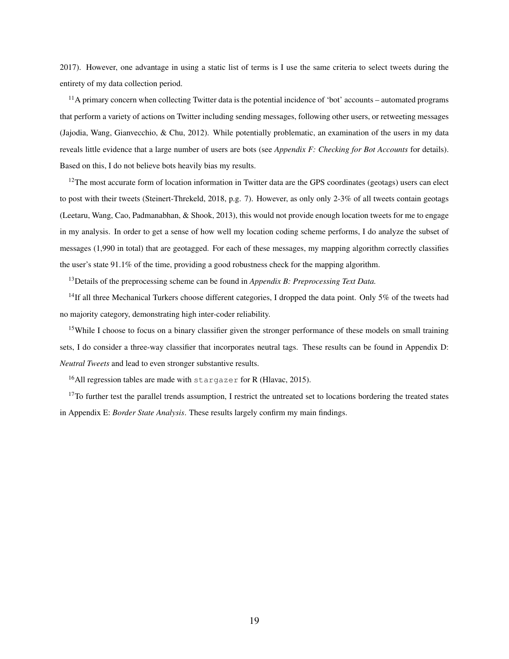2017). However, one advantage in using a static list of terms is I use the same criteria to select tweets during the entirety of my data collection period.

<sup>11</sup>A primary concern when collecting Twitter data is the potential incidence of 'bot' accounts – automated programs that perform a variety of actions on Twitter including sending messages, following other users, or retweeting messages (Jajodia, Wang, Gianvecchio, & Chu, 2012). While potentially problematic, an examination of the users in my data reveals little evidence that a large number of users are bots (see *Appendix F: Checking for Bot Accounts* for details). Based on this, I do not believe bots heavily bias my results.

 $12$ The most accurate form of location information in Twitter data are the GPS coordinates (geotags) users can elect to post with their tweets (Steinert-Threkeld, 2018, p.g. 7). However, as only only 2-3% of all tweets contain geotags (Leetaru, Wang, Cao, Padmanabhan, & Shook, 2013), this would not provide enough location tweets for me to engage in my analysis. In order to get a sense of how well my location coding scheme performs, I do analyze the subset of messages (1,990 in total) that are geotagged. For each of these messages, my mapping algorithm correctly classifies the user's state 91.1% of the time, providing a good robustness check for the mapping algorithm.

<sup>13</sup>Details of the preprocessing scheme can be found in *Appendix B: Preprocessing Text Data.*

<sup>14</sup>If all three Mechanical Turkers choose different categories, I dropped the data point. Only 5% of the tweets had no majority category, demonstrating high inter-coder reliability.

<sup>15</sup>While I choose to focus on a binary classifier given the stronger performance of these models on small training sets, I do consider a three-way classifier that incorporates neutral tags. These results can be found in Appendix D: *Neutral Tweets* and lead to even stronger substantive results.

<sup>16</sup>All regression tables are made with  $\frac{\pi}{2}$  stargazer for R (Hlavac, 2015).

 $17$ To further test the parallel trends assumption, I restrict the untreated set to locations bordering the treated states in Appendix E: *Border State Analysis*. These results largely confirm my main findings.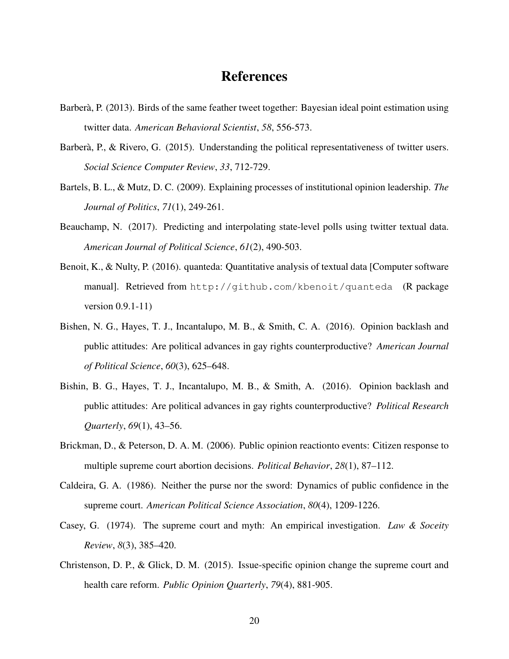## References

- Barberà, P. (2013). Birds of the same feather tweet together: Bayesian ideal point estimation using twitter data. *American Behavioral Scientist*, *58*, 556-573.
- Barberà, P., & Rivero, G. (2015). Understanding the political representativeness of twitter users. *Social Science Computer Review*, *33*, 712-729.
- Bartels, B. L., & Mutz, D. C. (2009). Explaining processes of institutional opinion leadership. *The Journal of Politics*, *71*(1), 249-261.
- Beauchamp, N. (2017). Predicting and interpolating state-level polls using twitter textual data. *American Journal of Political Science*, *61*(2), 490-503.
- Benoit, K., & Nulty, P. (2016). quanteda: Quantitative analysis of textual data [Computer software manual]. Retrieved from http://github.com/kbenoit/quanteda (R package version 0.9.1-11)
- Bishen, N. G., Hayes, T. J., Incantalupo, M. B., & Smith, C. A. (2016). Opinion backlash and public attitudes: Are political advances in gay rights counterproductive? *American Journal of Political Science*, *60*(3), 625–648.
- Bishin, B. G., Hayes, T. J., Incantalupo, M. B., & Smith, A. (2016). Opinion backlash and public attitudes: Are political advances in gay rights counterproductive? *Political Research Quarterly*, *69*(1), 43–56.
- Brickman, D., & Peterson, D. A. M. (2006). Public opinion reactionto events: Citizen response to multiple supreme court abortion decisions. *Political Behavior*, *28*(1), 87–112.
- Caldeira, G. A. (1986). Neither the purse nor the sword: Dynamics of public confidence in the supreme court. *American Political Science Association*, *80*(4), 1209-1226.
- Casey, G. (1974). The supreme court and myth: An empirical investigation. *Law & Soceity Review*, *8*(3), 385–420.
- Christenson, D. P., & Glick, D. M. (2015). Issue-specific opinion change the supreme court and health care reform. *Public Opinion Quarterly*, *79*(4), 881-905.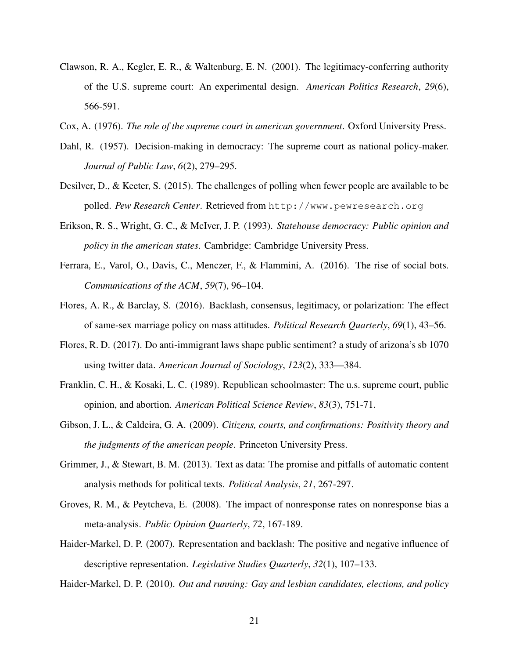- Clawson, R. A., Kegler, E. R., & Waltenburg, E. N. (2001). The legitimacy-conferring authority of the U.S. supreme court: An experimental design. *American Politics Research*, *29*(6), 566-591.
- Cox, A. (1976). *The role of the supreme court in american government*. Oxford University Press.
- Dahl, R. (1957). Decision-making in democracy: The supreme court as national policy-maker. *Journal of Public Law*, *6*(2), 279–295.
- Desilver, D., & Keeter, S. (2015). The challenges of polling when fewer people are available to be polled. *Pew Research Center*. Retrieved from http://www.pewresearch.org
- Erikson, R. S., Wright, G. C., & McIver, J. P. (1993). *Statehouse democracy: Public opinion and policy in the american states*. Cambridge: Cambridge University Press.
- Ferrara, E., Varol, O., Davis, C., Menczer, F., & Flammini, A. (2016). The rise of social bots. *Communications of the ACM*, *59*(7), 96–104.
- Flores, A. R., & Barclay, S. (2016). Backlash, consensus, legitimacy, or polarization: The effect of same-sex marriage policy on mass attitudes. *Political Research Quarterly*, *69*(1), 43–56.
- Flores, R. D. (2017). Do anti-immigrant laws shape public sentiment? a study of arizona's sb 1070 using twitter data. *American Journal of Sociology*, *123*(2), 333—384.
- Franklin, C. H., & Kosaki, L. C. (1989). Republican schoolmaster: The u.s. supreme court, public opinion, and abortion. *American Political Science Review*, *83*(3), 751-71.
- Gibson, J. L., & Caldeira, G. A. (2009). *Citizens, courts, and confirmations: Positivity theory and the judgments of the american people*. Princeton University Press.
- Grimmer, J., & Stewart, B. M. (2013). Text as data: The promise and pitfalls of automatic content analysis methods for political texts. *Political Analysis*, *21*, 267-297.
- Groves, R. M., & Peytcheva, E. (2008). The impact of nonresponse rates on nonresponse bias a meta-analysis. *Public Opinion Quarterly*, *72*, 167-189.
- Haider-Markel, D. P. (2007). Representation and backlash: The positive and negative influence of descriptive representation. *Legislative Studies Quarterly*, *32*(1), 107–133.

Haider-Markel, D. P. (2010). *Out and running: Gay and lesbian candidates, elections, and policy*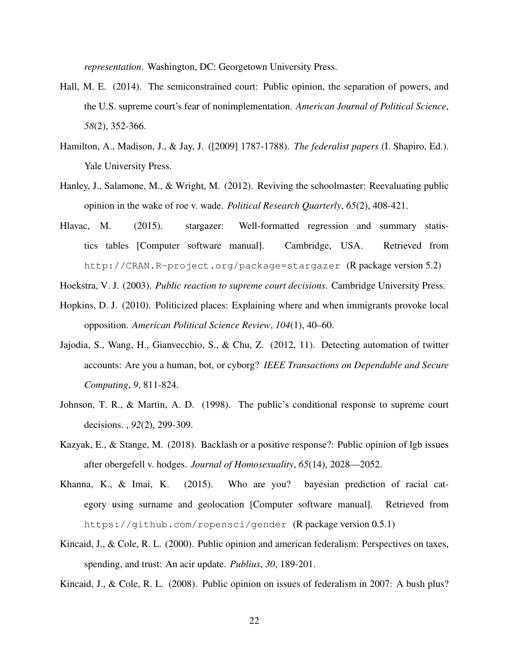*representation*. Washington, DC: Georgetown University Press.

- Hall, M. E. (2014). The semiconstrained court: Public opinion, the separation of powers, and the U.S. supreme court's fear of nonimplementation. *American Journal of Political Science*, *58*(2), 352-366.
- Hamilton, A., Madison, J., & Jay, J. ([2009] 1787-1788). *The federalist papers* (I. Shapiro, Ed.). Yale University Press.
- Hanley, J., Salamone, M., & Wright, M. (2012). Reviving the schoolmaster: Reevaluating public opinion in the wake of roe v. wade. *Political Research Quarterly*, *65*(2), 408-421.
- Hlavac, M. (2015). stargazer: Well-formatted regression and summary statistics tables [Computer software manual]. Cambridge, USA. Retrieved from http://CRAN.R-project.org/package=stargazer (R package version 5.2)

Hoekstra, V. J. (2003). *Public reaction to supreme court decisions*. Cambridge University Press.

- Hopkins, D. J. (2010). Politicized places: Explaining where and when immigrants provoke local opposition. *American Political Science Review*, *104*(1), 40–60.
- Jajodia, S., Wang, H., Gianvecchio, S., & Chu, Z. (2012, 11). Detecting automation of twitter accounts: Are you a human, bot, or cyborg? *IEEE Transactions on Dependable and Secure Computing*, *9*, 811-824.
- Johnson, T. R., & Martin, A. D. (1998). The public's conditional response to supreme court decisions. , *92*(2), 299-309.
- Kazyak, E., & Stange, M. (2018). Backlash or a positive response?: Public opinion of lgb issues after obergefell v. hodges. *Journal of Homosexuality*, *65*(14), 2028—2052.
- Khanna, K., & Imai, K. (2015). Who are you? bayesian prediction of racial category using surname and geolocation [Computer software manual]. Retrieved from https://github.com/ropensci/gender (R package version 0.5.1)
- Kincaid, J., & Cole, R. L. (2000). Public opinion and american federalism: Perspectives on taxes, spending, and trust: An acir update. *Publius*, *30*, 189-201.

Kincaid, J., & Cole, R. L. (2008). Public opinion on issues of federalism in 2007: A bush plus?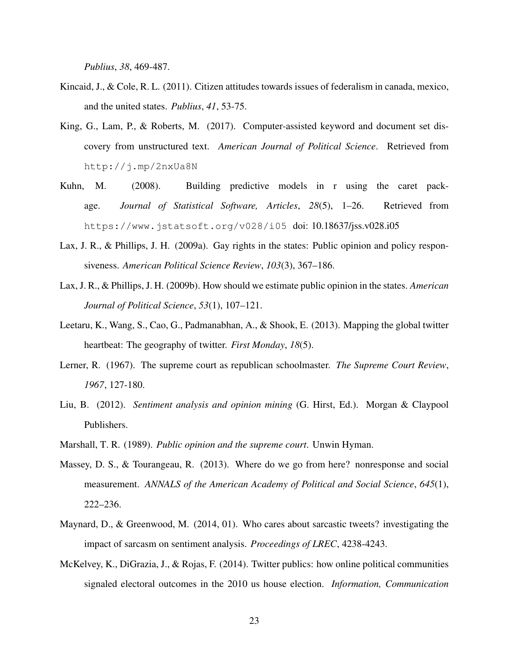*Publius*, *38*, 469-487.

- Kincaid, J., & Cole, R. L. (2011). Citizen attitudes towards issues of federalism in canada, mexico, and the united states. *Publius*, *41*, 53-75.
- King, G., Lam, P., & Roberts, M. (2017). Computer-assisted keyword and document set discovery from unstructured text. *American Journal of Political Science*. Retrieved from http://j.mp/2nxUa8N
- Kuhn, M. (2008). Building predictive models in r using the caret package. *Journal of Statistical Software, Articles*, *28*(5), 1–26. Retrieved from https://www.jstatsoft.org/v028/i05 doi: 10.18637/jss.v028.i05
- Lax, J. R., & Phillips, J. H. (2009a). Gay rights in the states: Public opinion and policy responsiveness. *American Political Science Review*, *103*(3), 367–186.
- Lax, J. R., & Phillips, J. H. (2009b). How should we estimate public opinion in the states. *American Journal of Political Science*, *53*(1), 107–121.
- Leetaru, K., Wang, S., Cao, G., Padmanabhan, A., & Shook, E. (2013). Mapping the global twitter heartbeat: The geography of twitter. *First Monday*, *18*(5).
- Lerner, R. (1967). The supreme court as republican schoolmaster. *The Supreme Court Review*, *1967*, 127-180.
- Liu, B. (2012). *Sentiment analysis and opinion mining* (G. Hirst, Ed.). Morgan & Claypool Publishers.
- Marshall, T. R. (1989). *Public opinion and the supreme court*. Unwin Hyman.
- Massey, D. S., & Tourangeau, R. (2013). Where do we go from here? nonresponse and social measurement. *ANNALS of the American Academy of Political and Social Science*, *645*(1), 222–236.
- Maynard, D., & Greenwood, M. (2014, 01). Who cares about sarcastic tweets? investigating the impact of sarcasm on sentiment analysis. *Proceedings of LREC*, 4238-4243.
- McKelvey, K., DiGrazia, J., & Rojas, F. (2014). Twitter publics: how online political communities signaled electoral outcomes in the 2010 us house election. *Information, Communication*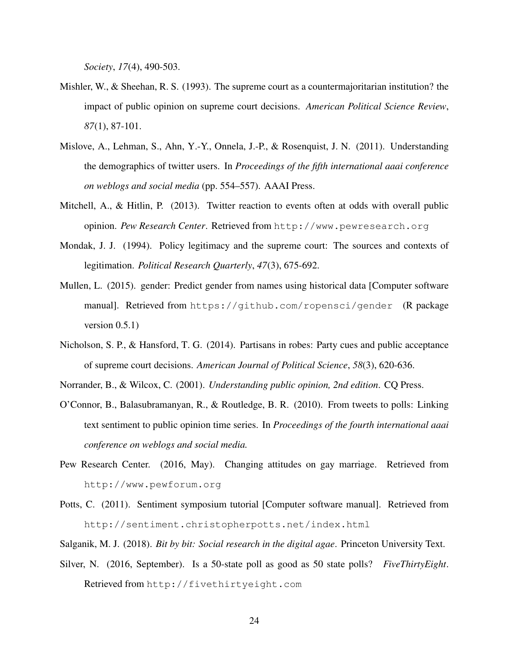*Society*, *17*(4), 490-503.

- Mishler, W., & Sheehan, R. S. (1993). The supreme court as a countermajoritarian institution? the impact of public opinion on supreme court decisions. *American Political Science Review*, *87*(1), 87-101.
- Mislove, A., Lehman, S., Ahn, Y.-Y., Onnela, J.-P., & Rosenquist, J. N. (2011). Understanding the demographics of twitter users. In *Proceedings of the fifth international aaai conference on weblogs and social media* (pp. 554–557). AAAI Press.
- Mitchell, A., & Hitlin, P. (2013). Twitter reaction to events often at odds with overall public opinion. *Pew Research Center*. Retrieved from http://www.pewresearch.org
- Mondak, J. J. (1994). Policy legitimacy and the supreme court: The sources and contexts of legitimation. *Political Research Quarterly*, *47*(3), 675-692.
- Mullen, L. (2015). gender: Predict gender from names using historical data [Computer software manual]. Retrieved from https://github.com/ropensci/gender (R package version  $0.5.1$ )
- Nicholson, S. P., & Hansford, T. G. (2014). Partisans in robes: Party cues and public acceptance of supreme court decisions. *American Journal of Political Science*, *58*(3), 620-636.
- Norrander, B., & Wilcox, C. (2001). *Understanding public opinion, 2nd edition*. CQ Press.
- O'Connor, B., Balasubramanyan, R., & Routledge, B. R. (2010). From tweets to polls: Linking text sentiment to public opinion time series. In *Proceedings of the fourth international aaai conference on weblogs and social media.*
- Pew Research Center. (2016, May). Changing attitudes on gay marriage. Retrieved from http://www.pewforum.org
- Potts, C. (2011). Sentiment symposium tutorial [Computer software manual]. Retrieved from http://sentiment.christopherpotts.net/index.html
- Salganik, M. J. (2018). *Bit by bit: Social research in the digital agae*. Princeton University Text.
- Silver, N. (2016, September). Is a 50-state poll as good as 50 state polls? *FiveThirtyEight*. Retrieved from http://fivethirtyeight.com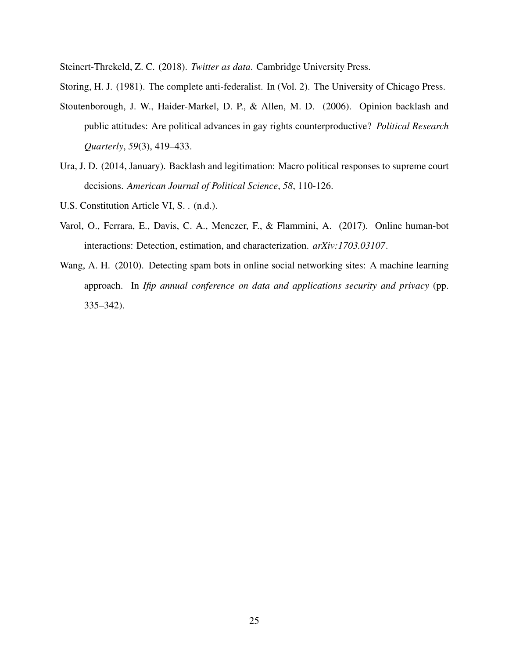Steinert-Threkeld, Z. C. (2018). *Twitter as data*. Cambridge University Press.

Storing, H. J. (1981). The complete anti-federalist. In (Vol. 2). The University of Chicago Press.

- Stoutenborough, J. W., Haider-Markel, D. P., & Allen, M. D. (2006). Opinion backlash and public attitudes: Are political advances in gay rights counterproductive? *Political Research Quarterly*, *59*(3), 419–433.
- Ura, J. D. (2014, January). Backlash and legitimation: Macro political responses to supreme court decisions. *American Journal of Political Science*, *58*, 110-126.
- U.S. Constitution Article VI, S. . (n.d.).
- Varol, O., Ferrara, E., Davis, C. A., Menczer, F., & Flammini, A. (2017). Online human-bot interactions: Detection, estimation, and characterization. *arXiv:1703.03107*.
- Wang, A. H. (2010). Detecting spam bots in online social networking sites: A machine learning approach. In *Ifip annual conference on data and applications security and privacy* (pp. 335–342).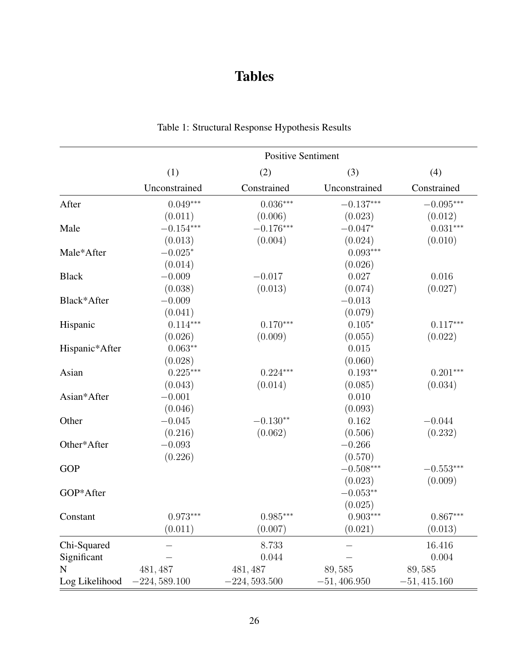# Tables

|                | <b>Positive Sentiment</b> |                |               |               |  |
|----------------|---------------------------|----------------|---------------|---------------|--|
|                | (1)                       | (2)            | (3)           | (4)           |  |
|                | Unconstrained             | Constrained    | Unconstrained | Constrained   |  |
| After          | $0.049***$                | $0.036***$     | $-0.137***$   | $-0.095***$   |  |
|                | (0.011)                   | (0.006)        | (0.023)       | (0.012)       |  |
| Male           | $-0.154***$               | $-0.176***$    | $-0.047*$     | $0.031***$    |  |
|                | (0.013)                   | (0.004)        | (0.024)       | (0.010)       |  |
| Male*After     | $-0.025*$                 |                | $0.093***$    |               |  |
|                | (0.014)                   |                | (0.026)       |               |  |
| <b>Black</b>   | $-0.009$                  | $-0.017$       | 0.027         | 0.016         |  |
|                | (0.038)                   | (0.013)        | (0.074)       | (0.027)       |  |
| Black*After    | $-0.009$                  |                | $-0.013$      |               |  |
|                | (0.041)                   |                | (0.079)       |               |  |
| Hispanic       | $0.114***$                | $0.170***$     | $0.105*$      | $0.117***$    |  |
|                | (0.026)                   | (0.009)        | (0.055)       | (0.022)       |  |
| Hispanic*After | $0.063**$                 |                | 0.015         |               |  |
|                | (0.028)                   |                | (0.060)       |               |  |
| Asian          | $0.225***$                | $0.224***$     | $0.193**$     | $0.201***$    |  |
|                | (0.043)                   | (0.014)        | (0.085)       | (0.034)       |  |
| Asian*After    | $-0.001$                  |                | 0.010         |               |  |
|                | (0.046)                   |                | (0.093)       |               |  |
| Other          | $-0.045$                  | $-0.130**$     | 0.162         | $-0.044$      |  |
|                | (0.216)                   | (0.062)        | (0.506)       | (0.232)       |  |
| Other*After    | $-0.093$                  |                | $-0.266$      |               |  |
|                | (0.226)                   |                | (0.570)       |               |  |
| <b>GOP</b>     |                           |                | $-0.508***$   | $-0.553***$   |  |
|                |                           |                | (0.023)       | (0.009)       |  |
| GOP*After      |                           |                | $-0.053**$    |               |  |
|                |                           |                | (0.025)       |               |  |
| Constant       | $0.973***$                | $0.985***$     | $0.903***$    | $0.867***$    |  |
|                | (0.011)                   | (0.007)        | (0.021)       | (0.013)       |  |
| Chi-Squared    |                           | 8.733          |               | 16.416        |  |
| Significant    |                           | 0.044          |               | 0.004         |  |
| N              | 481, 487                  | 481, 487       | 89,585        | 89,585        |  |
| Log Likelihood | $-224,589.100$            | $-224,593.500$ | $-51,406.950$ | $-51,415.160$ |  |

# Table 1: Structural Response Hypothesis Results

 $=$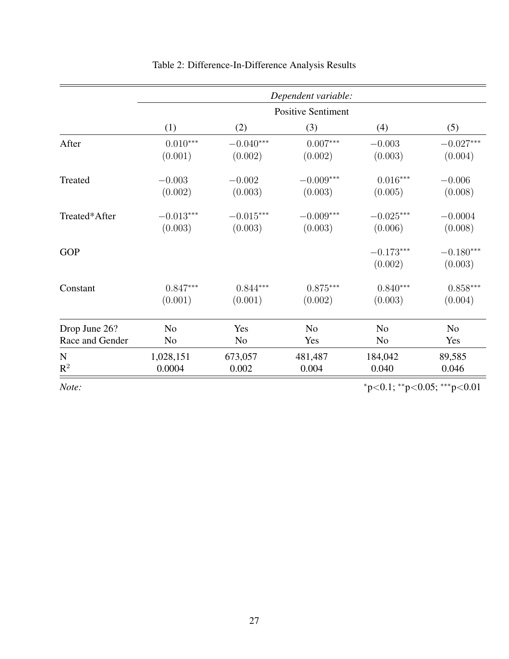|                 | Dependent variable:       |                |                |                        |                        |  |
|-----------------|---------------------------|----------------|----------------|------------------------|------------------------|--|
|                 | <b>Positive Sentiment</b> |                |                |                        |                        |  |
|                 | (1)                       | (2)            | (3)            | (4)                    | (5)                    |  |
| After           | $0.010***$                | $-0.040***$    | $0.007***$     | $-0.003$               | $-0.027***$            |  |
|                 | (0.001)                   | (0.002)        | (0.002)        | (0.003)                | (0.004)                |  |
| Treated         | $-0.003$                  | $-0.002$       | $-0.009***$    | $0.016***$             | $-0.006$               |  |
|                 | (0.002)                   | (0.003)        | (0.003)        | (0.005)                | (0.008)                |  |
| Treated*After   | $-0.013***$               | $-0.015***$    | $-0.009***$    | $-0.025***$            | $-0.0004$              |  |
|                 | (0.003)                   | (0.003)        | (0.003)        | (0.006)                | (0.008)                |  |
| <b>GOP</b>      |                           |                |                | $-0.173***$<br>(0.002) | $-0.180***$<br>(0.003) |  |
| Constant        | $0.847***$                | $0.844***$     | $0.875***$     | $0.840***$             | $0.858***$             |  |
|                 | (0.001)                   | (0.001)        | (0.002)        | (0.003)                | (0.004)                |  |
| Drop June 26?   | N <sub>o</sub>            | Yes            | N <sub>o</sub> | N <sub>o</sub>         | N <sub>o</sub>         |  |
| Race and Gender | N <sub>o</sub>            | N <sub>0</sub> | Yes            | N <sub>0</sub>         | Yes                    |  |
| $\mathbf N$     | 1,028,151                 | 673,057        | 481,487        | 184,042                | 89,585                 |  |
| $R^2$           | 0.0004                    | 0.002          | 0.004          | 0.040                  | 0.046                  |  |

# Table 2: Difference-In-Difference Analysis Results

*Note:*  $*_{p<0.1; **p<0.05; **p<0.01}$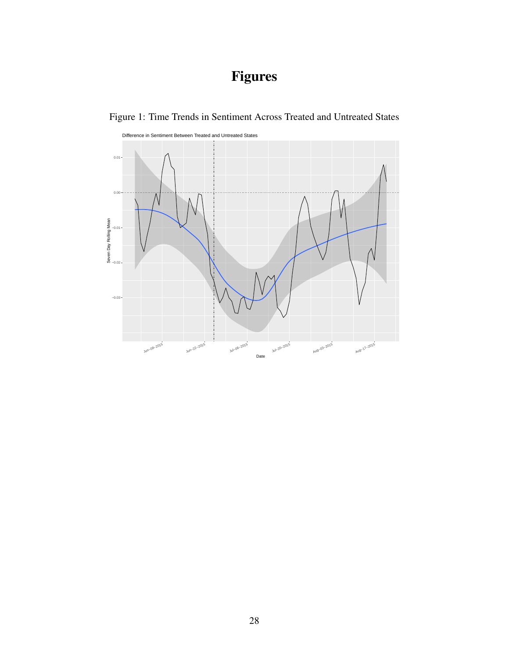# Figures



Figure 1: Time Trends in Sentiment Across Treated and Untreated States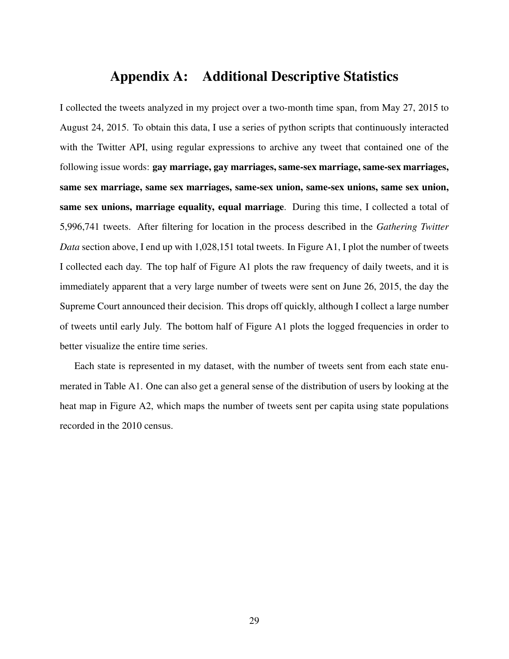# Appendix A: Additional Descriptive Statistics

I collected the tweets analyzed in my project over a two-month time span, from May 27, 2015 to August 24, 2015. To obtain this data, I use a series of python scripts that continuously interacted with the Twitter API, using regular expressions to archive any tweet that contained one of the following issue words: gay marriage, gay marriages, same-sex marriage, same-sex marriages, same sex marriage, same sex marriages, same-sex union, same-sex unions, same sex union, same sex unions, marriage equality, equal marriage. During this time, I collected a total of 5,996,741 tweets. After filtering for location in the process described in the *Gathering Twitter Data* section above, I end up with 1,028,151 total tweets. In Figure A1, I plot the number of tweets I collected each day. The top half of Figure A1 plots the raw frequency of daily tweets, and it is immediately apparent that a very large number of tweets were sent on June 26, 2015, the day the Supreme Court announced their decision. This drops off quickly, although I collect a large number of tweets until early July. The bottom half of Figure A1 plots the logged frequencies in order to better visualize the entire time series.

Each state is represented in my dataset, with the number of tweets sent from each state enumerated in Table A1. One can also get a general sense of the distribution of users by looking at the heat map in Figure A2, which maps the number of tweets sent per capita using state populations recorded in the 2010 census.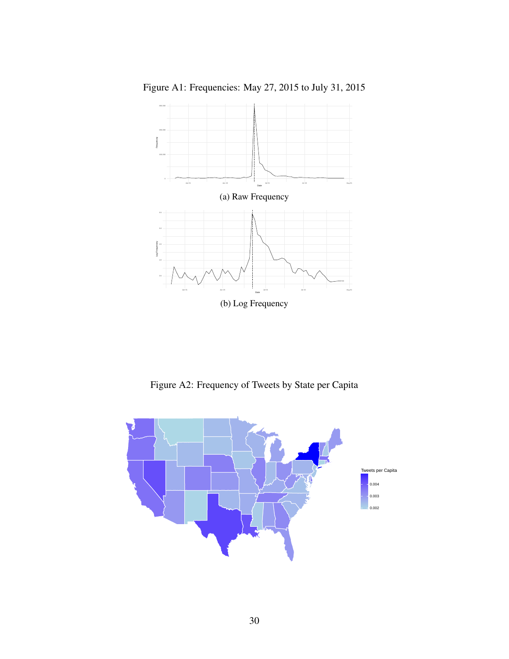

Figure A1: Frequencies: May 27, 2015 to July 31, 2015

Figure A2: Frequency of Tweets by State per Capita

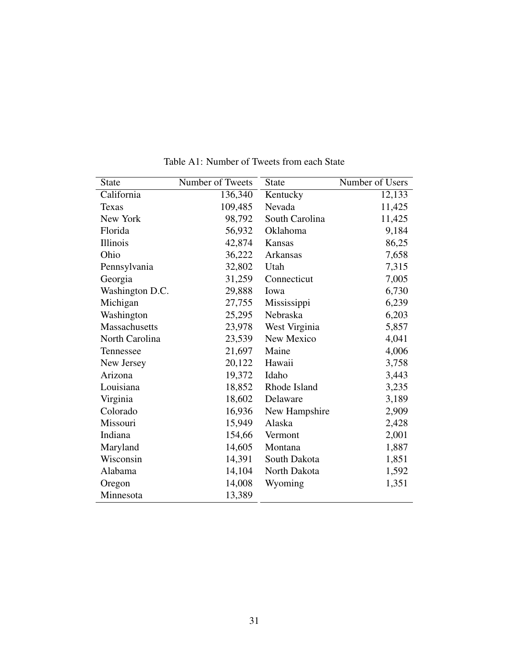| <b>State</b>         | Number of Tweets | <b>State</b>   | Number of Users |
|----------------------|------------------|----------------|-----------------|
| California           | 136,340          | Kentucky       | 12,133          |
| <b>Texas</b>         | 109,485          | Nevada         | 11,425          |
| New York             | 98,792           | South Carolina | 11,425          |
| Florida              | 56,932           | Oklahoma       | 9,184           |
| Illinois             | 42,874           | Kansas         | 86,25           |
| Ohio                 | 36,222           | Arkansas       | 7,658           |
| Pennsylvania         | 32,802           | Utah           | 7,315           |
| Georgia              | 31,259           | Connecticut    | 7,005           |
| Washington D.C.      | 29,888           | Iowa           | 6,730           |
| Michigan             | 27,755           | Mississippi    | 6,239           |
| Washington           | 25,295           | Nebraska       | 6,203           |
| <b>Massachusetts</b> | 23,978           | West Virginia  | 5,857           |
| North Carolina       | 23,539           | New Mexico     | 4,041           |
| Tennessee            | 21,697           | Maine          | 4,006           |
| New Jersey           | 20,122           | Hawaii         | 3,758           |
| Arizona              | 19,372           | Idaho          | 3,443           |
| Louisiana            | 18,852           | Rhode Island   | 3,235           |
| Virginia             | 18,602           | Delaware       | 3,189           |
| Colorado             | 16,936           | New Hampshire  | 2,909           |
| Missouri             | 15,949           | Alaska         | 2,428           |
| Indiana              | 154,66           | Vermont        | 2,001           |
| Maryland             | 14,605           | Montana        | 1,887           |
| Wisconsin            | 14,391           | South Dakota   | 1,851           |
| Alabama              | 14,104           | North Dakota   | 1,592           |
| Oregon               | 14,008           | Wyoming        | 1,351           |
| Minnesota            | 13,389           |                |                 |

Table A1: Number of Tweets from each State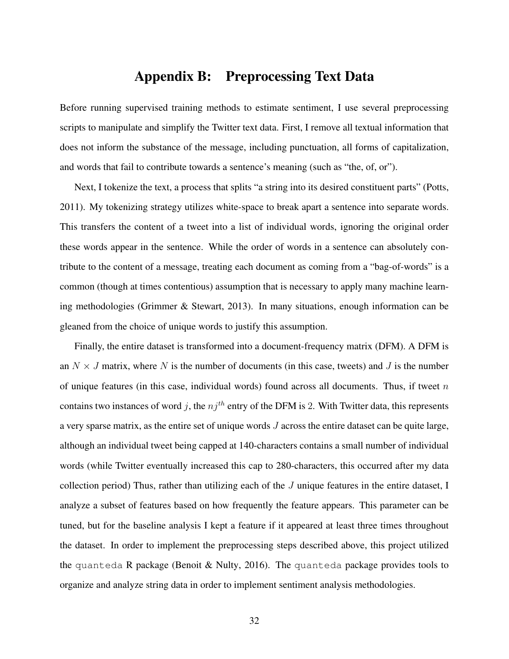## Appendix B: Preprocessing Text Data

Before running supervised training methods to estimate sentiment, I use several preprocessing scripts to manipulate and simplify the Twitter text data. First, I remove all textual information that does not inform the substance of the message, including punctuation, all forms of capitalization, and words that fail to contribute towards a sentence's meaning (such as "the, of, or").

Next, I tokenize the text, a process that splits "a string into its desired constituent parts" (Potts, 2011). My tokenizing strategy utilizes white-space to break apart a sentence into separate words. This transfers the content of a tweet into a list of individual words, ignoring the original order these words appear in the sentence. While the order of words in a sentence can absolutely contribute to the content of a message, treating each document as coming from a "bag-of-words" is a common (though at times contentious) assumption that is necessary to apply many machine learning methodologies (Grimmer & Stewart, 2013). In many situations, enough information can be gleaned from the choice of unique words to justify this assumption.

Finally, the entire dataset is transformed into a document-frequency matrix (DFM). A DFM is an  $N \times J$  matrix, where N is the number of documents (in this case, tweets) and J is the number of unique features (in this case, individual words) found across all documents. Thus, if tweet  $n$ contains two instances of word j, the  $nj<sup>th</sup>$  entry of the DFM is 2. With Twitter data, this represents a very sparse matrix, as the entire set of unique words J across the entire dataset can be quite large, although an individual tweet being capped at 140-characters contains a small number of individual words (while Twitter eventually increased this cap to 280-characters, this occurred after my data collection period) Thus, rather than utilizing each of the  $J$  unique features in the entire dataset, I analyze a subset of features based on how frequently the feature appears. This parameter can be tuned, but for the baseline analysis I kept a feature if it appeared at least three times throughout the dataset. In order to implement the preprocessing steps described above, this project utilized the quanteda R package (Benoit & Nulty, 2016). The quanteda package provides tools to organize and analyze string data in order to implement sentiment analysis methodologies.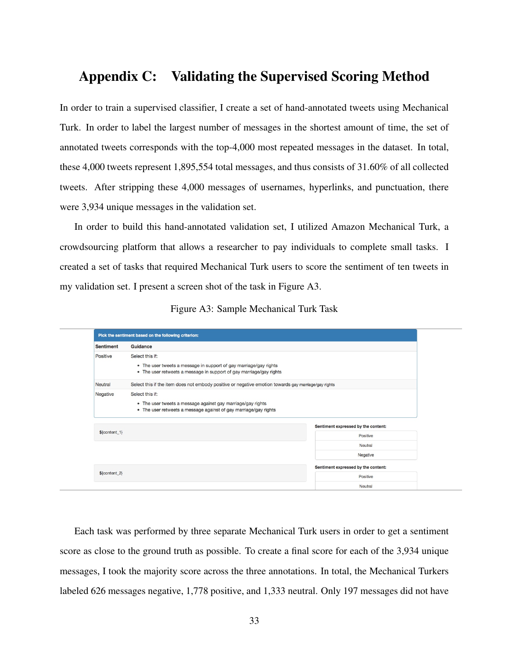## Appendix C: Validating the Supervised Scoring Method

In order to train a supervised classifier, I create a set of hand-annotated tweets using Mechanical Turk. In order to label the largest number of messages in the shortest amount of time, the set of annotated tweets corresponds with the top-4,000 most repeated messages in the dataset. In total, these 4,000 tweets represent 1,895,554 total messages, and thus consists of 31.60% of all collected tweets. After stripping these 4,000 messages of usernames, hyperlinks, and punctuation, there were 3,934 unique messages in the validation set.

In order to build this hand-annotated validation set, I utilized Amazon Mechanical Turk, a crowdsourcing platform that allows a researcher to pay individuals to complete small tasks. I created a set of tasks that required Mechanical Turk users to score the sentiment of ten tweets in my validation set. I present a screen shot of the task in Figure A3.

|  |  | Figure A3: Sample Mechanical Turk Task |  |  |
|--|--|----------------------------------------|--|--|
|--|--|----------------------------------------|--|--|

|                  | Pick the sentiment based on the following criterion:                                                                                                                                      |                                     |  |  |
|------------------|-------------------------------------------------------------------------------------------------------------------------------------------------------------------------------------------|-------------------------------------|--|--|
| <b>Sentiment</b> | Guidance                                                                                                                                                                                  |                                     |  |  |
| Positive         | Select this if:<br>• The user tweets a message in support of gay marriage/gay rights<br>• The user retweets a message in support of gay marriage/gay rights                               |                                     |  |  |
| Neutral          | Select this if the item does not embody positive or negative emotion towards gay marriage/gay rights                                                                                      |                                     |  |  |
| Negative         | Select this if:<br>• The user tweets a message against gay marriage/gay rights<br>• The user retweets a message against of gay marriage/gay rights<br>Sentiment expressed by the content: |                                     |  |  |
| $% content_1$    |                                                                                                                                                                                           | Positive                            |  |  |
|                  |                                                                                                                                                                                           | Neutral                             |  |  |
|                  |                                                                                                                                                                                           | Negative                            |  |  |
|                  |                                                                                                                                                                                           | Sentiment expressed by the content: |  |  |
| $% content_2$    |                                                                                                                                                                                           | <b>Positive</b>                     |  |  |
|                  |                                                                                                                                                                                           | Neutral                             |  |  |

Each task was performed by three separate Mechanical Turk users in order to get a sentiment score as close to the ground truth as possible. To create a final score for each of the 3,934 unique messages, I took the majority score across the three annotations. In total, the Mechanical Turkers labeled 626 messages negative, 1,778 positive, and 1,333 neutral. Only 197 messages did not have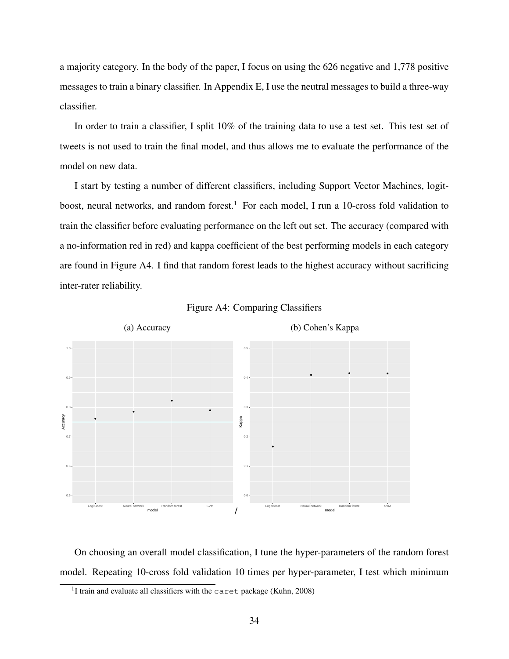a majority category. In the body of the paper, I focus on using the 626 negative and 1,778 positive messages to train a binary classifier. In Appendix E, I use the neutral messages to build a three-way classifier.

In order to train a classifier, I split 10% of the training data to use a test set. This test set of tweets is not used to train the final model, and thus allows me to evaluate the performance of the model on new data.

I start by testing a number of different classifiers, including Support Vector Machines, logitboost, neural networks, and random forest.<sup>1</sup> For each model, I run a 10-cross fold validation to train the classifier before evaluating performance on the left out set. The accuracy (compared with a no-information red in red) and kappa coefficient of the best performing models in each category are found in Figure A4. I find that random forest leads to the highest accuracy without sacrificing inter-rater reliability.





On choosing an overall model classification, I tune the hyper-parameters of the random forest model. Repeating 10-cross fold validation 10 times per hyper-parameter, I test which minimum

<sup>&</sup>lt;sup>1</sup>I train and evaluate all classifiers with the caret package (Kuhn, 2008)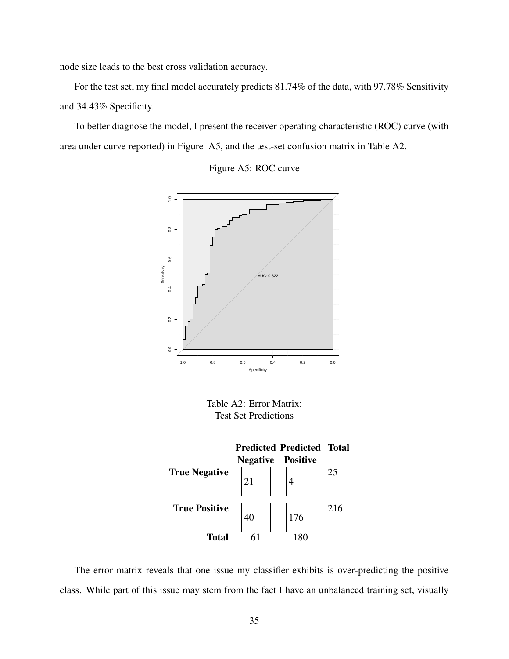node size leads to the best cross validation accuracy.

For the test set, my final model accurately predicts 81.74% of the data, with 97.78% Sensitivity and 34.43% Specificity.

To better diagnose the model, I present the receiver operating characteristic (ROC) curve (with area under curve reported) in Figure A5, and the test-set confusion matrix in Table A2.





Table A2: Error Matrix: Test Set Predictions



The error matrix reveals that one issue my classifier exhibits is over-predicting the positive class. While part of this issue may stem from the fact I have an unbalanced training set, visually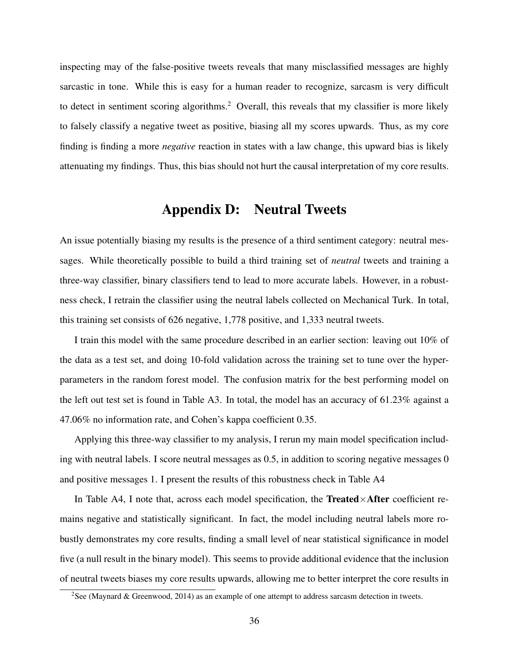inspecting may of the false-positive tweets reveals that many misclassified messages are highly sarcastic in tone. While this is easy for a human reader to recognize, sarcasm is very difficult to detect in sentiment scoring algorithms.<sup>2</sup> Overall, this reveals that my classifier is more likely to falsely classify a negative tweet as positive, biasing all my scores upwards. Thus, as my core finding is finding a more *negative* reaction in states with a law change, this upward bias is likely attenuating my findings. Thus, this bias should not hurt the causal interpretation of my core results.

### Appendix D: Neutral Tweets

An issue potentially biasing my results is the presence of a third sentiment category: neutral messages. While theoretically possible to build a third training set of *neutral* tweets and training a three-way classifier, binary classifiers tend to lead to more accurate labels. However, in a robustness check, I retrain the classifier using the neutral labels collected on Mechanical Turk. In total, this training set consists of 626 negative, 1,778 positive, and 1,333 neutral tweets.

I train this model with the same procedure described in an earlier section: leaving out 10% of the data as a test set, and doing 10-fold validation across the training set to tune over the hyperparameters in the random forest model. The confusion matrix for the best performing model on the left out test set is found in Table A3. In total, the model has an accuracy of 61.23% against a 47.06% no information rate, and Cohen's kappa coefficient 0.35.

Applying this three-way classifier to my analysis, I rerun my main model specification including with neutral labels. I score neutral messages as 0.5, in addition to scoring negative messages 0 and positive messages 1. I present the results of this robustness check in Table A4

In Table A4, I note that, across each model specification, the Treated $\times$ After coefficient remains negative and statistically significant. In fact, the model including neutral labels more robustly demonstrates my core results, finding a small level of near statistical significance in model five (a null result in the binary model). This seems to provide additional evidence that the inclusion of neutral tweets biases my core results upwards, allowing me to better interpret the core results in

<sup>&</sup>lt;sup>2</sup>See (Maynard & Greenwood, 2014) as an example of one attempt to address sarcasm detection in tweets.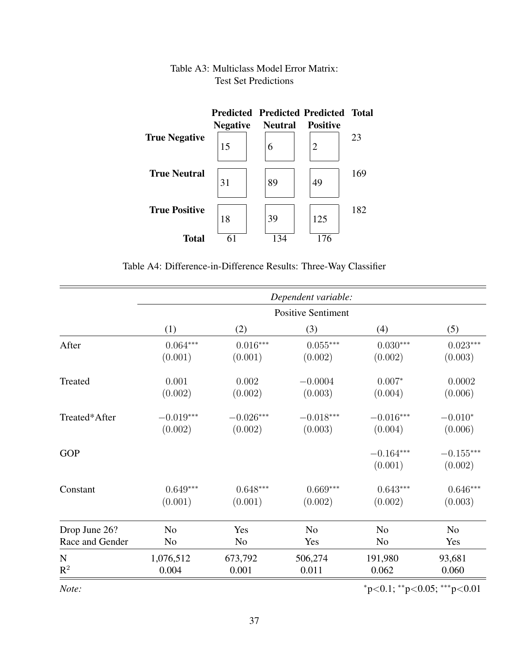#### Predicted Predicted Predicted Total Negative True Negative  $15 \t| 6 \t| 2$ 23 True Neutral  $31$   $|89|$   $|49|$ 169 True Positive 18 | 39 | 125 182 **Total**  $\overline{61}$   $\overline{134}$   $\overline{176}$

### Table A3: Multiclass Model Error Matrix: Test Set Predictions

Table A4: Difference-in-Difference Results: Three-Way Classifier

|                 | Dependent variable:       |                |                 |                        |                        |  |
|-----------------|---------------------------|----------------|-----------------|------------------------|------------------------|--|
|                 | <b>Positive Sentiment</b> |                |                 |                        |                        |  |
|                 | (1)                       | (2)            | (3)             | (4)                    | (5)                    |  |
| After           | $0.064***$                | $0.016***$     | $0.055^{***}\,$ | $0.030***$             | $0.023***$             |  |
|                 | (0.001)                   | (0.001)        | (0.002)         | (0.002)                | (0.003)                |  |
| Treated         | 0.001                     | 0.002          | $-0.0004$       | $0.007*$               | 0.0002                 |  |
|                 | (0.002)                   | (0.002)        | (0.003)         | (0.004)                | (0.006)                |  |
| Treated*After   | $-0.019***$               | $-0.026***$    | $-0.018***$     | $-0.016***$            | $-0.010*$              |  |
|                 | (0.002)                   | (0.002)        | (0.003)         | (0.004)                | (0.006)                |  |
| <b>GOP</b>      |                           |                |                 | $-0.164***$<br>(0.001) | $-0.155***$<br>(0.002) |  |
| Constant        | $0.649***$                | $0.648***$     | $0.669***$      | $0.643***$             | $0.646***$             |  |
|                 | (0.001)                   | (0.001)        | (0.002)         | (0.002)                | (0.003)                |  |
| Drop June 26?   | N <sub>o</sub>            | Yes            | N <sub>0</sub>  | N <sub>o</sub>         | N <sub>o</sub>         |  |
| Race and Gender | N <sub>o</sub>            | N <sub>o</sub> | Yes             | No                     | Yes                    |  |
| $\mathbf N$     | 1,076,512                 | 673,792        | 506,274         | 191,980                | 93,681                 |  |
| $R^2$           | 0.004                     | 0.001          | 0.011           | 0.062                  | 0.060                  |  |

*Note:*  $*_{p<0.1;}$  \*\*p<0.05; \*\*\*p<0.01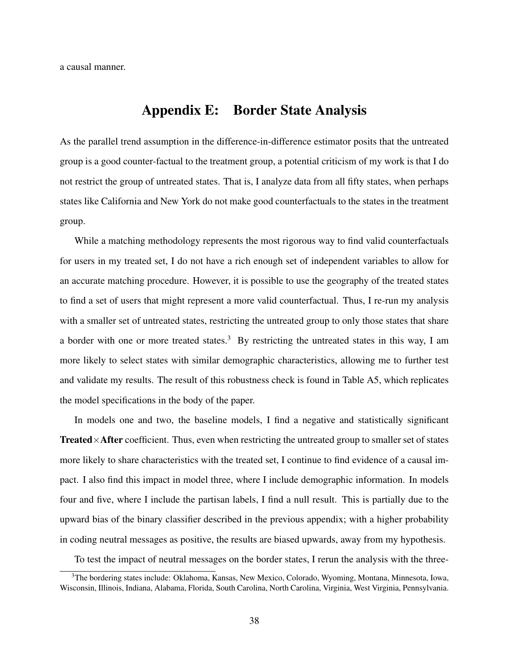a causal manner.

### Appendix E: Border State Analysis

As the parallel trend assumption in the difference-in-difference estimator posits that the untreated group is a good counter-factual to the treatment group, a potential criticism of my work is that I do not restrict the group of untreated states. That is, I analyze data from all fifty states, when perhaps states like California and New York do not make good counterfactuals to the states in the treatment group.

While a matching methodology represents the most rigorous way to find valid counterfactuals for users in my treated set, I do not have a rich enough set of independent variables to allow for an accurate matching procedure. However, it is possible to use the geography of the treated states to find a set of users that might represent a more valid counterfactual. Thus, I re-run my analysis with a smaller set of untreated states, restricting the untreated group to only those states that share a border with one or more treated states.<sup>3</sup> By restricting the untreated states in this way, I am more likely to select states with similar demographic characteristics, allowing me to further test and validate my results. The result of this robustness check is found in Table A5, which replicates the model specifications in the body of the paper.

In models one and two, the baseline models, I find a negative and statistically significant **Treated** $\times$ **After** coefficient. Thus, even when restricting the untreated group to smaller set of states more likely to share characteristics with the treated set, I continue to find evidence of a causal impact. I also find this impact in model three, where I include demographic information. In models four and five, where I include the partisan labels, I find a null result. This is partially due to the upward bias of the binary classifier described in the previous appendix; with a higher probability in coding neutral messages as positive, the results are biased upwards, away from my hypothesis.

To test the impact of neutral messages on the border states, I rerun the analysis with the three-

<sup>3</sup>The bordering states include: Oklahoma, Kansas, New Mexico, Colorado, Wyoming, Montana, Minnesota, Iowa, Wisconsin, Illinois, Indiana, Alabama, Florida, South Carolina, North Carolina, Virginia, West Virginia, Pennsylvania.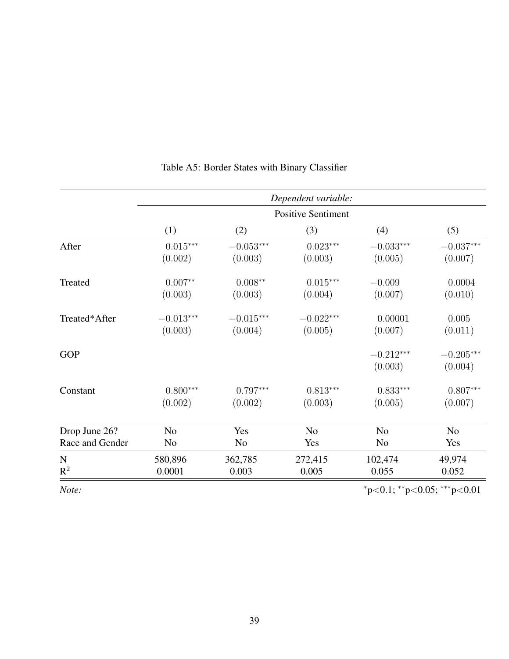|                 | Dependent variable:<br><b>Positive Sentiment</b> |                        |                       |                        |                        |  |
|-----------------|--------------------------------------------------|------------------------|-----------------------|------------------------|------------------------|--|
|                 |                                                  |                        |                       |                        |                        |  |
|                 | (1)                                              | (2)                    | (3)                   | (4)                    | (5)                    |  |
| After           | $0.015***$<br>(0.002)                            | $-0.053***$<br>(0.003) | $0.023***$<br>(0.003) | $-0.033***$<br>(0.005) | $-0.037***$<br>(0.007) |  |
|                 |                                                  |                        |                       |                        |                        |  |
| Treated         | $0.007**$                                        | $0.008**$              | $0.015***$            | $-0.009$               | 0.0004                 |  |
|                 | (0.003)                                          | (0.003)                | (0.004)               | (0.007)                | (0.010)                |  |
| Treated*After   | $-0.013***$                                      | $-0.015***$            | $-0.022***$           | 0.00001                | 0.005                  |  |
|                 | (0.003)                                          | (0.004)                | (0.005)               | (0.007)                | (0.011)                |  |
| <b>GOP</b>      |                                                  |                        |                       | $-0.212***$            | $-0.205***$            |  |
|                 |                                                  |                        |                       | (0.003)                | (0.004)                |  |
| Constant        | $0.800***$                                       | $0.797***$             | $0.813***$            | $0.833***$             | $0.807***$             |  |
|                 | (0.002)                                          | (0.002)                | (0.003)               | (0.005)                | (0.007)                |  |
| Drop June 26?   | N <sub>o</sub>                                   | Yes                    | N <sub>o</sub>        | N <sub>o</sub>         | N <sub>0</sub>         |  |
| Race and Gender | N <sub>o</sub>                                   | N <sub>0</sub>         | Yes                   | N <sub>0</sub>         | Yes                    |  |
| $\mathbf N$     | 580,896                                          | 362,785                | 272,415               | 102,474                | 49,974                 |  |
| $\mathbb{R}^2$  | 0.0001                                           | 0.003                  | 0.005                 | 0.055                  | 0.052                  |  |
| Note:           | $p<0.1$ ; **p<0.05; ***p<0.01                    |                        |                       |                        |                        |  |

### Table A5: Border States with Binary Classifier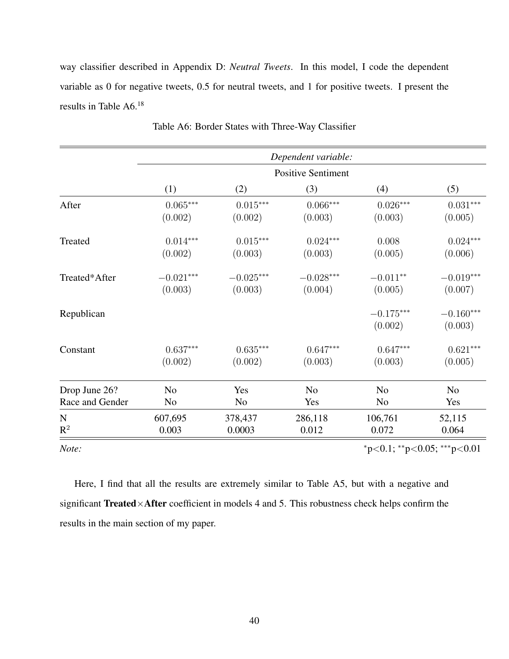way classifier described in Appendix D: *Neutral Tweets*. In this model, I code the dependent variable as 0 for negative tweets, 0.5 for neutral tweets, and 1 for positive tweets. I present the results in Table A6.<sup>18</sup>

|                 | Dependent variable:         |                 |                |                        |                        |  |  |
|-----------------|-----------------------------|-----------------|----------------|------------------------|------------------------|--|--|
|                 | <b>Positive Sentiment</b>   |                 |                |                        |                        |  |  |
|                 | (1)                         | (2)             | (3)            | (4)                    | (5)                    |  |  |
| After           | $0.065***$                  | $0.015^{***}\,$ | $0.066***$     | $0.026***$             | $0.031^{***}\,$        |  |  |
|                 | (0.002)                     | (0.002)         | (0.003)        | (0.003)                | (0.005)                |  |  |
| Treated         | $0.014***$                  | $0.015***$      | $0.024***$     | 0.008                  | $0.024***$             |  |  |
|                 | (0.002)                     | (0.003)         | (0.003)        | (0.005)                | (0.006)                |  |  |
| Treated*After   | $-0.021***$                 | $-0.025***$     | $-0.028***$    | $-0.011**$             | $-0.019***$            |  |  |
|                 | (0.003)                     | (0.003)         | (0.004)        | (0.005)                | (0.007)                |  |  |
| Republican      |                             |                 |                | $-0.175***$<br>(0.002) | $-0.160***$<br>(0.003) |  |  |
| Constant        | $0.637***$                  | $0.635***$      | $0.647***$     | $0.647***$             | $0.621***$             |  |  |
|                 | (0.002)                     | (0.002)         | (0.003)        | (0.003)                | (0.005)                |  |  |
| Drop June 26?   | N <sub>o</sub>              | Yes             | N <sub>o</sub> | N <sub>o</sub>         | N <sub>0</sub>         |  |  |
| Race and Gender | No                          | N <sub>0</sub>  | Yes            | N <sub>o</sub>         | Yes                    |  |  |
| $\mathbf N$     | 607,695                     | 378,437         | 286,118        | 106,761                | 52,115                 |  |  |
| $R^2$           | 0.003                       | 0.0003          | 0.012          | 0.072                  | 0.064                  |  |  |
| Note:           | *p<0.1; **p<0.05; ***p<0.01 |                 |                |                        |                        |  |  |

Table A6: Border States with Three-Way Classifier

Here, I find that all the results are extremely similar to Table A5, but with a negative and significant Treated×After coefficient in models 4 and 5. This robustness check helps confirm the results in the main section of my paper.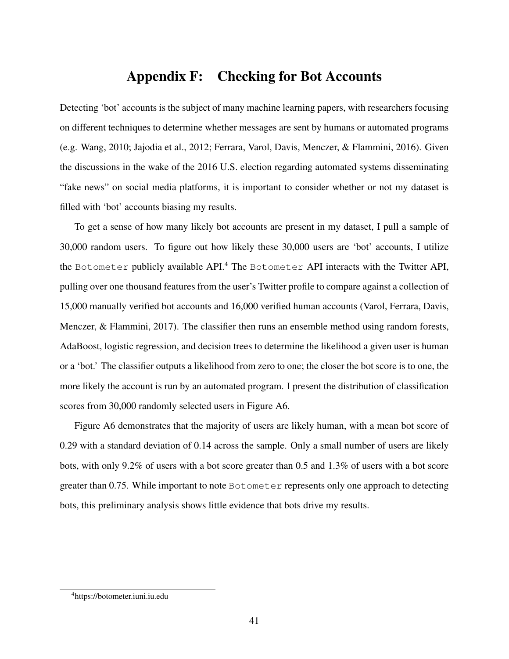## Appendix F: Checking for Bot Accounts

Detecting 'bot' accounts is the subject of many machine learning papers, with researchers focusing on different techniques to determine whether messages are sent by humans or automated programs (e.g. Wang, 2010; Jajodia et al., 2012; Ferrara, Varol, Davis, Menczer, & Flammini, 2016). Given the discussions in the wake of the 2016 U.S. election regarding automated systems disseminating "fake news" on social media platforms, it is important to consider whether or not my dataset is filled with 'bot' accounts biasing my results.

To get a sense of how many likely bot accounts are present in my dataset, I pull a sample of 30,000 random users. To figure out how likely these 30,000 users are 'bot' accounts, I utilize the Botometer publicly available API.<sup>4</sup> The Botometer API interacts with the Twitter API, pulling over one thousand features from the user's Twitter profile to compare against a collection of 15,000 manually verified bot accounts and 16,000 verified human accounts (Varol, Ferrara, Davis, Menczer, & Flammini, 2017). The classifier then runs an ensemble method using random forests, AdaBoost, logistic regression, and decision trees to determine the likelihood a given user is human or a 'bot.' The classifier outputs a likelihood from zero to one; the closer the bot score is to one, the more likely the account is run by an automated program. I present the distribution of classification scores from 30,000 randomly selected users in Figure A6.

Figure A6 demonstrates that the majority of users are likely human, with a mean bot score of 0.29 with a standard deviation of 0.14 across the sample. Only a small number of users are likely bots, with only 9.2% of users with a bot score greater than 0.5 and 1.3% of users with a bot score greater than 0.75. While important to note Botometer represents only one approach to detecting bots, this preliminary analysis shows little evidence that bots drive my results.

<sup>4</sup>https://botometer.iuni.iu.edu